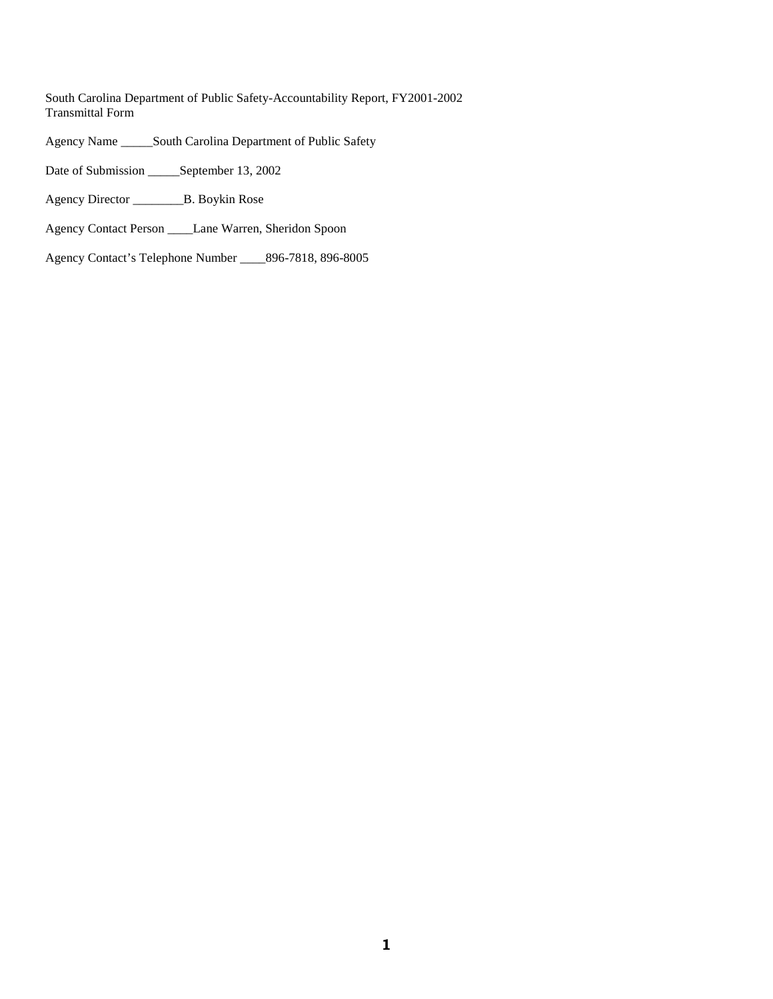South Carolina Department of Public Safety-Accountability Report, FY2001-2002 Transmittal Form

Agency Name \_\_\_\_\_South Carolina Department of Public Safety

Date of Submission \_\_\_\_\_September 13, 2002

Agency Director \_\_\_\_\_\_\_\_B. Boykin Rose

Agency Contact Person \_\_\_\_Lane Warren, Sheridon Spoon

Agency Contact's Telephone Number \_\_\_\_896-7818, 896-8005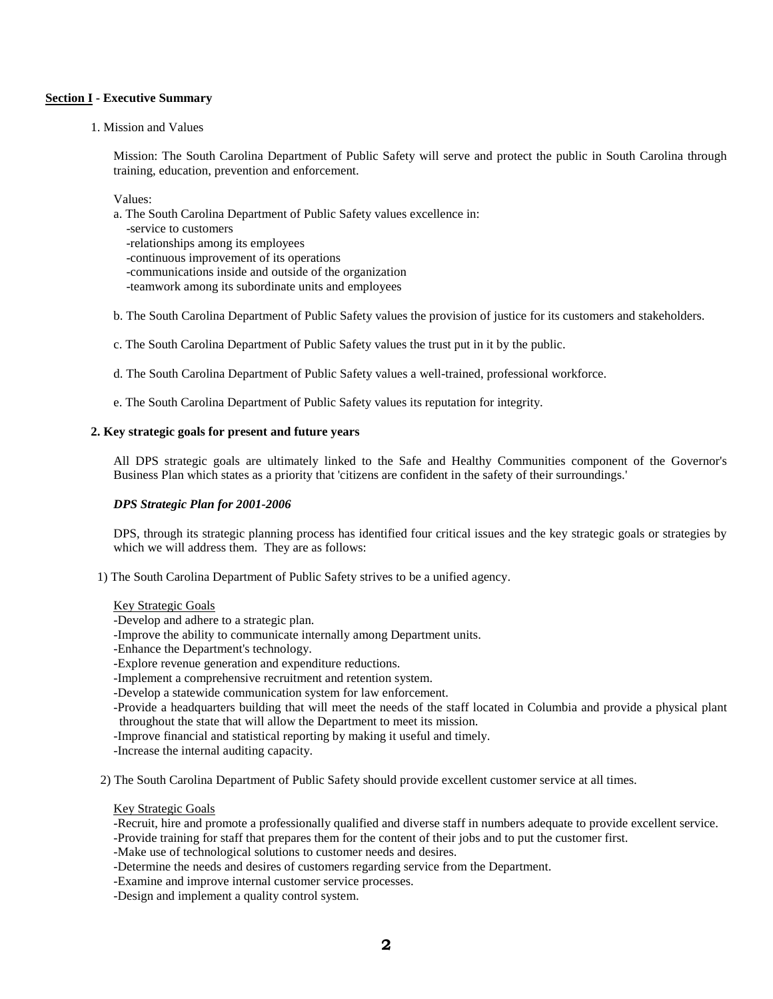#### **Section I - Executive Summary**

1. Mission and Values

Mission: The South Carolina Department of Public Safety will serve and protect the public in South Carolina through training, education, prevention and enforcement.

Values:

- a. The South Carolina Department of Public Safety values excellence in:
- -service to customers
- -relationships among its employees
- -continuous improvement of its operations
- -communications inside and outside of the organization
- -teamwork among its subordinate units and employees
- b. The South Carolina Department of Public Safety values the provision of justice for its customers and stakeholders.
- c. The South Carolina Department of Public Safety values the trust put in it by the public.
- d. The South Carolina Department of Public Safety values a well-trained, professional workforce.
- e. The South Carolina Department of Public Safety values its reputation for integrity.

#### **2. Key strategic goals for present and future years**

All DPS strategic goals are ultimately linked to the Safe and Healthy Communities component of the Governor's Business Plan which states as a priority that 'citizens are confident in the safety of their surroundings.'

#### *DPS Strategic Plan for 2001-2006*

DPS, through its strategic planning process has identified four critical issues and the key strategic goals or strategies by which we will address them. They are as follows:

1) The South Carolina Department of Public Safety strives to be a unified agency.

#### Key Strategic Goals

-Develop and adhere to a strategic plan.

-Improve the ability to communicate internally among Department units.

- -Enhance the Department's technology.
- -Explore revenue generation and expenditure reductions.
- -Implement a comprehensive recruitment and retention system.
- -Develop a statewide communication system for law enforcement.

-Provide a headquarters building that will meet the needs of the staff located in Columbia and provide a physical plant throughout the state that will allow the Department to meet its mission.

-Improve financial and statistical reporting by making it useful and timely.

-Increase the internal auditing capacity.

2) The South Carolina Department of Public Safety should provide excellent customer service at all times.

#### Key Strategic Goals

-Recruit, hire and promote a professionally qualified and diverse staff in numbers adequate to provide excellent service. -Provide training for staff that prepares them for the content of their jobs and to put the customer first.

-Make use of technological solutions to customer needs and desires.

- -Determine the needs and desires of customers regarding service from the Department.
- -Examine and improve internal customer service processes.

-Design and implement a quality control system.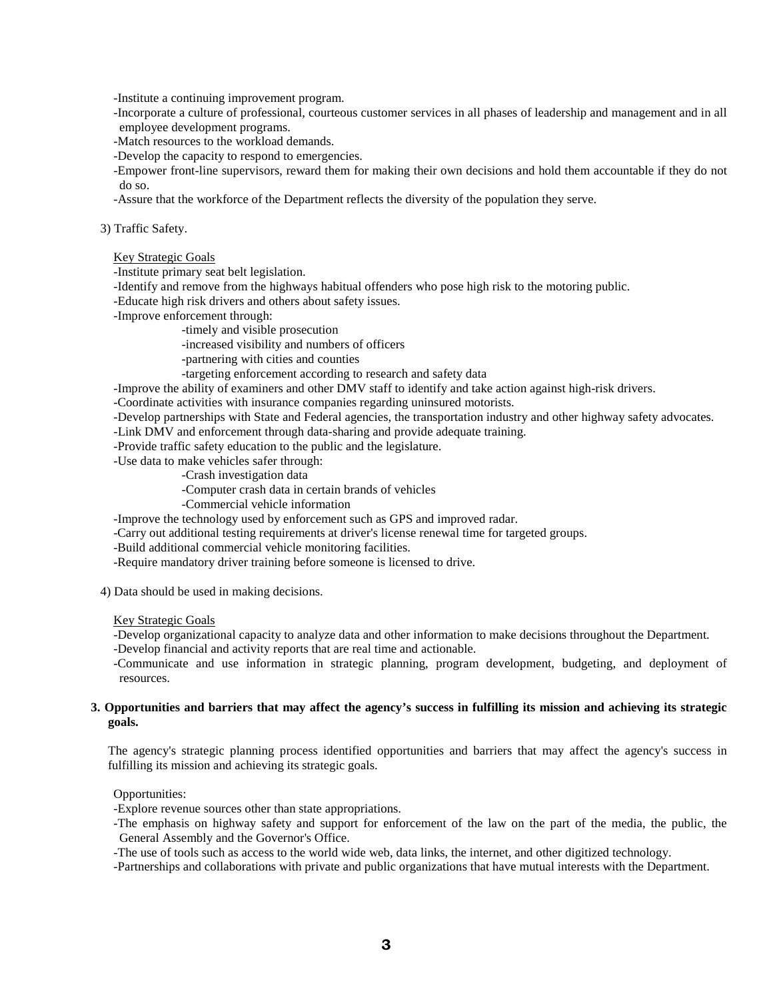-Institute a continuing improvement program.

-Incorporate a culture of professional, courteous customer services in all phases of leadership and management and in all employee development programs.

-Match resources to the workload demands.

-Develop the capacity to respond to emergencies.

-Empower front-line supervisors, reward them for making their own decisions and hold them accountable if they do not do so.

-Assure that the workforce of the Department reflects the diversity of the population they serve.

#### 3) Traffic Safety.

#### Key Strategic Goals

-Institute primary seat belt legislation.

-Identify and remove from the highways habitual offenders who pose high risk to the motoring public.

-Educate high risk drivers and others about safety issues.

-Improve enforcement through:

-timely and visible prosecution

-increased visibility and numbers of officers

-partnering with cities and counties

-targeting enforcement according to research and safety data

-Improve the ability of examiners and other DMV staff to identify and take action against high-risk drivers.

-Coordinate activities with insurance companies regarding uninsured motorists.

-Develop partnerships with State and Federal agencies, the transportation industry and other highway safety advocates.

-Link DMV and enforcement through data-sharing and provide adequate training.

-Provide traffic safety education to the public and the legislature. -Use data to make vehicles safer through:

-Crash investigation data

-Computer crash data in certain brands of vehicles

-Commercial vehicle information

-Improve the technology used by enforcement such as GPS and improved radar.

-Carry out additional testing requirements at driver's license renewal time for targeted groups.

-Build additional commercial vehicle monitoring facilities.

-Require mandatory driver training before someone is licensed to drive.

4) Data should be used in making decisions.

#### Key Strategic Goals

-Develop organizational capacity to analyze data and other information to make decisions throughout the Department.

-Develop financial and activity reports that are real time and actionable.

-Communicate and use information in strategic planning, program development, budgeting, and deployment of resources.

#### **3. Opportunities and barriers that may affect the agency's success in fulfilling its mission and achieving its strategic goals.**

The agency's strategic planning process identified opportunities and barriers that may affect the agency's success in fulfilling its mission and achieving its strategic goals.

#### Opportunities:

-Explore revenue sources other than state appropriations.

-The emphasis on highway safety and support for enforcement of the law on the part of the media, the public, the General Assembly and the Governor's Office.

-The use of tools such as access to the world wide web, data links, the internet, and other digitized technology.

-Partnerships and collaborations with private and public organizations that have mutual interests with the Department.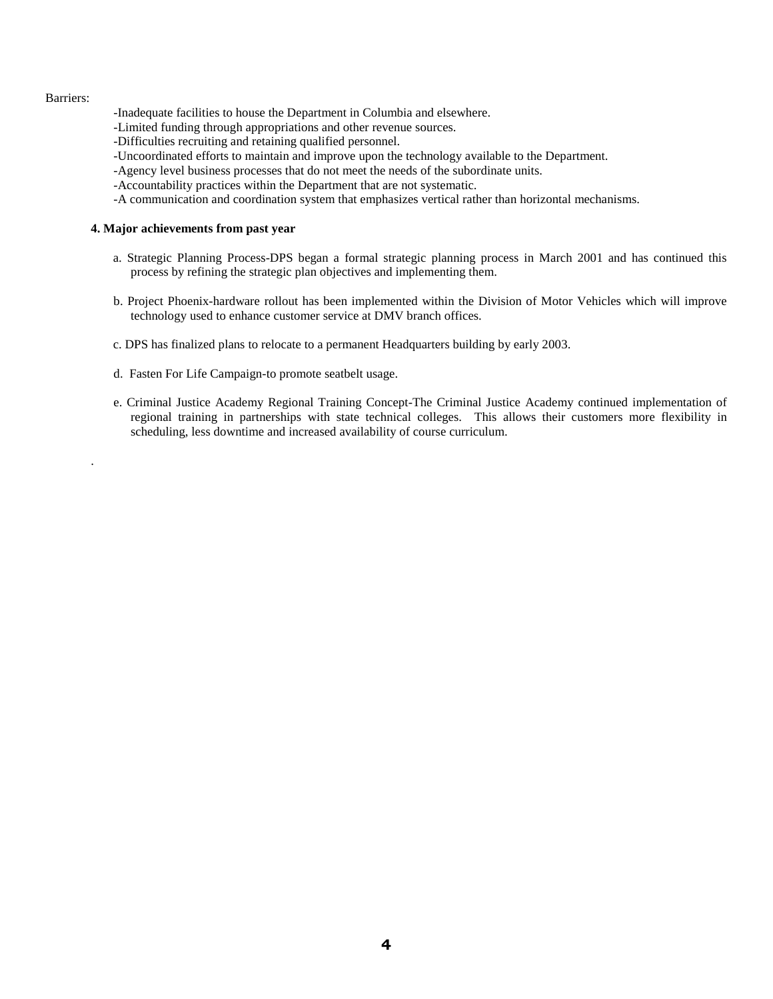#### Barriers:

.

-Inadequate facilities to house the Department in Columbia and elsewhere.

- -Limited funding through appropriations and other revenue sources.
- -Difficulties recruiting and retaining qualified personnel.
- -Uncoordinated efforts to maintain and improve upon the technology available to the Department.
- -Agency level business processes that do not meet the needs of the subordinate units.
- -Accountability practices within the Department that are not systematic.
- -A communication and coordination system that emphasizes vertical rather than horizontal mechanisms.

#### **4. Major achievements from past year**

- a. Strategic Planning Process-DPS began a formal strategic planning process in March 2001 and has continued this process by refining the strategic plan objectives and implementing them.
- b. Project Phoenix-hardware rollout has been implemented within the Division of Motor Vehicles which will improve technology used to enhance customer service at DMV branch offices.
- c. DPS has finalized plans to relocate to a permanent Headquarters building by early 2003.
- d. Fasten For Life Campaign-to promote seatbelt usage.
- e. Criminal Justice Academy Regional Training Concept-The Criminal Justice Academy continued implementation of regional training in partnerships with state technical colleges. This allows their customers more flexibility in scheduling, less downtime and increased availability of course curriculum.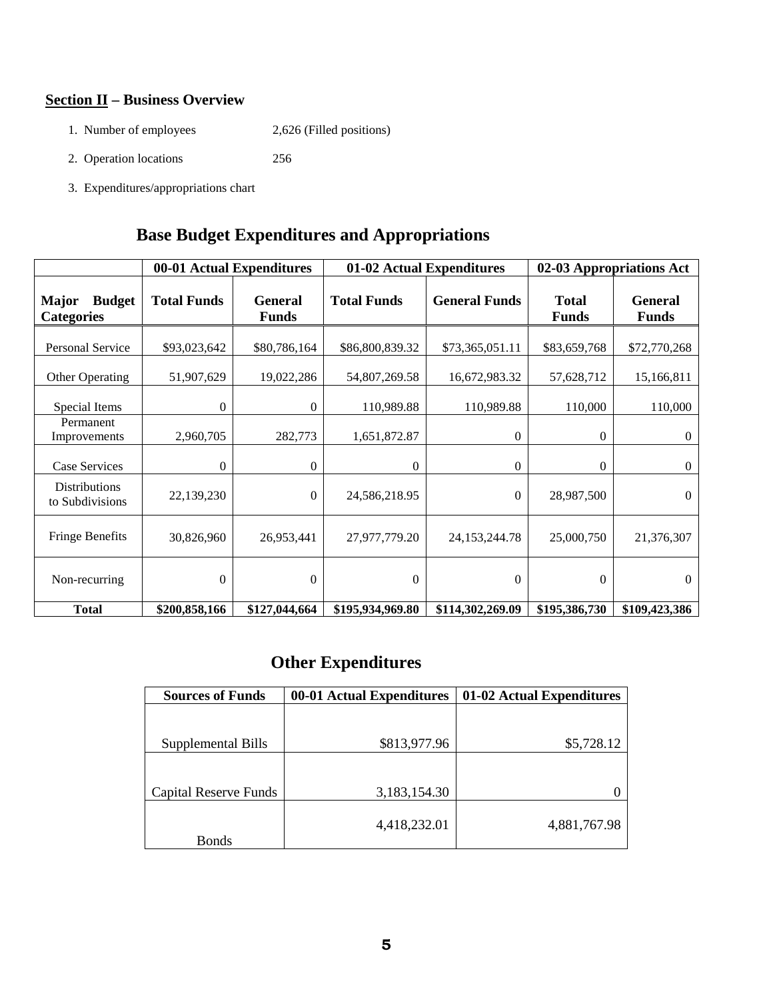# **Section II – Business Overview**

- 1. Number of employees 2,626 (Filled positions)
- 2. Operation locations 256
- 3. Expenditures/appropriations chart

# **Base Budget Expenditures and Appropriations**

|                                                    | 00-01 Actual Expenditures |                                | 01-02 Actual Expenditures |                      | 02-03 Appropriations Act     |                                |
|----------------------------------------------------|---------------------------|--------------------------------|---------------------------|----------------------|------------------------------|--------------------------------|
| <b>Major</b><br><b>Budget</b><br><b>Categories</b> | <b>Total Funds</b>        | <b>General</b><br><b>Funds</b> | <b>Total Funds</b>        | <b>General Funds</b> | <b>Total</b><br><b>Funds</b> | <b>General</b><br><b>Funds</b> |
| <b>Personal Service</b>                            | \$93,023,642              | \$80,786,164                   | \$86,800,839.32           | \$73,365,051.11      | \$83,659,768                 | \$72,770,268                   |
| Other Operating                                    | 51,907,629                | 19,022,286                     | 54,807,269.58             | 16,672,983.32        | 57,628,712                   | 15,166,811                     |
| Special Items                                      | $\Omega$                  | $\Omega$                       | 110,989.88                | 110,989.88           | 110,000                      | 110,000                        |
| Permanent<br>Improvements                          | 2,960,705                 | 282,773                        | 1,651,872.87              | $\mathbf{0}$         | $\overline{0}$               | $\overline{0}$                 |
| Case Services                                      | $\theta$                  | $\theta$                       | $\theta$                  | $\mathbf{0}$         | 0                            | $\mathbf{0}$                   |
| <b>Distributions</b><br>to Subdivisions            | 22,139,230                | $\boldsymbol{0}$               | 24,586,218.95             | $\boldsymbol{0}$     | 28,987,500                   | $\overline{0}$                 |
| <b>Fringe Benefits</b>                             | 30,826,960                | 26,953,441                     | 27,977,779.20             | 24, 153, 244. 78     | 25,000,750                   | 21,376,307                     |
| Non-recurring                                      | $\overline{0}$            | $\theta$                       | $\overline{0}$            | $\theta$             | $\mathbf{0}$                 | $\overline{0}$                 |
| <b>Total</b>                                       | \$200,858,166             | \$127,044,664                  | \$195,934,969.80          | \$114,302,269.09     | \$195,386,730                | \$109,423,386                  |

# **Other Expenditures**

| <b>Sources of Funds</b>      | 00-01 Actual Expenditures | 01-02 Actual Expenditures |  |
|------------------------------|---------------------------|---------------------------|--|
|                              |                           |                           |  |
|                              |                           |                           |  |
| Supplemental Bills           | \$813,977.96              | \$5,728.12                |  |
|                              |                           |                           |  |
|                              |                           |                           |  |
| <b>Capital Reserve Funds</b> | 3,183,154.30              |                           |  |
|                              |                           |                           |  |
|                              | 4,418,232.01              | 4,881,767.98              |  |
| <b>Bonds</b>                 |                           |                           |  |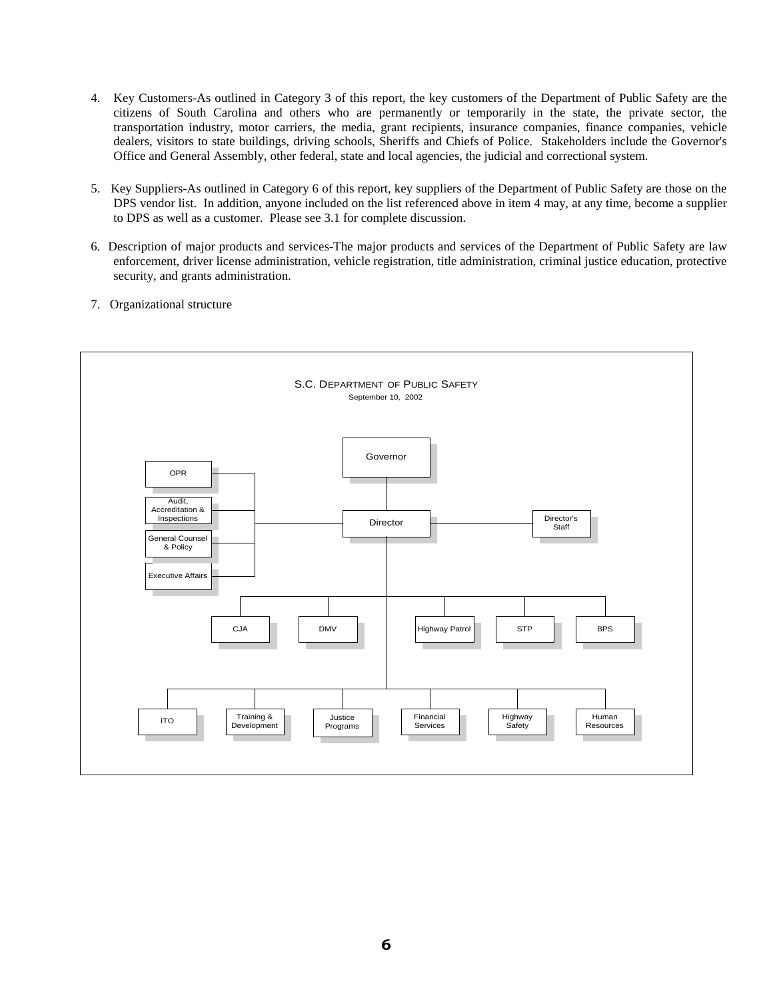- 4. Key Customers-As outlined in Category 3 of this report, the key customers of the Department of Public Safety are the citizens of South Carolina and others who are permanently or temporarily in the state, the private sector, the transportation industry, motor carriers, the media, grant recipients, insurance companies, finance companies, vehicle dealers, visitors to state buildings, driving schools, Sheriffs and Chiefs of Police. Stakeholders include the Governor's Office and General Assembly, other federal, state and local agencies, the judicial and correctional system.
- 5. Key Suppliers-As outlined in Category 6 of this report, key suppliers of the Department of Public Safety are those on the DPS vendor list. In addition, anyone included on the list referenced above in item 4 may, at any time, become a supplier to DPS as well as a customer. Please see 3.1 for complete discussion.
- 6. Description of major products and services-The major products and services of the Department of Public Safety are law enforcement, driver license administration, vehicle registration, title administration, criminal justice education, protective security, and grants administration.
- 7. Organizational structure

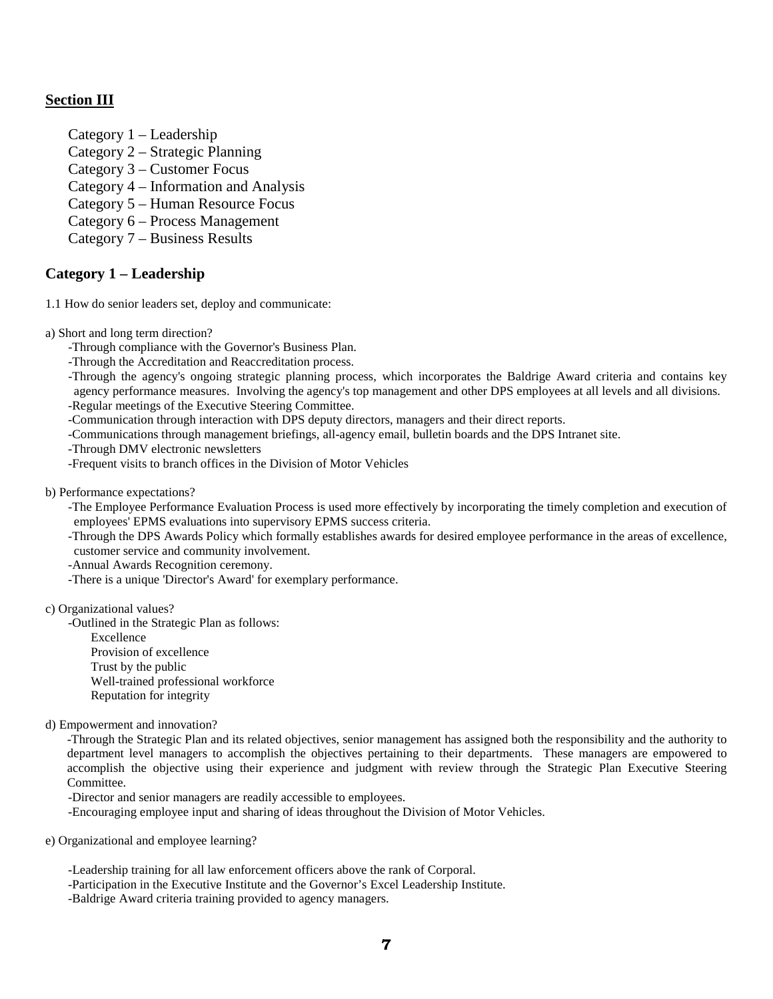# **Section III**

- Category 1 Leadership
- Category 2 Strategic Planning
- Category 3 Customer Focus
- Category 4 Information and Analysis
- Category 5 Human Resource Focus
- Category 6 Process Management
- Category 7 Business Results

## **Category 1 – Leadership**

1.1 How do senior leaders set, deploy and communicate:

- a) Short and long term direction?
	- -Through compliance with the Governor's Business Plan.
	- -Through the Accreditation and Reaccreditation process.

-Through the agency's ongoing strategic planning process, which incorporates the Baldrige Award criteria and contains key agency performance measures. Involving the agency's top management and other DPS employees at all levels and all divisions.

-Regular meetings of the Executive Steering Committee. -Communication through interaction with DPS deputy directors, managers and their direct reports.

-Communications through management briefings, all-agency email, bulletin boards and the DPS Intranet site.

-Through DMV electronic newsletters

-Frequent visits to branch offices in the Division of Motor Vehicles

#### b) Performance expectations?

-The Employee Performance Evaluation Process is used more effectively by incorporating the timely completion and execution of employees' EPMS evaluations into supervisory EPMS success criteria.

-Through the DPS Awards Policy which formally establishes awards for desired employee performance in the areas of excellence, customer service and community involvement.

- -Annual Awards Recognition ceremony.
- -There is a unique 'Director's Award' for exemplary performance.

#### c) Organizational values?

-Outlined in the Strategic Plan as follows:

Excellence Provision of excellence Trust by the public Well-trained professional workforce Reputation for integrity

d) Empowerment and innovation?

-Through the Strategic Plan and its related objectives, senior management has assigned both the responsibility and the authority to department level managers to accomplish the objectives pertaining to their departments. These managers are empowered to accomplish the objective using their experience and judgment with review through the Strategic Plan Executive Steering Committee.

-Director and senior managers are readily accessible to employees.

-Encouraging employee input and sharing of ideas throughout the Division of Motor Vehicles.

e) Organizational and employee learning?

-Leadership training for all law enforcement officers above the rank of Corporal.

-Participation in the Executive Institute and the Governor's Excel Leadership Institute.

-Baldrige Award criteria training provided to agency managers.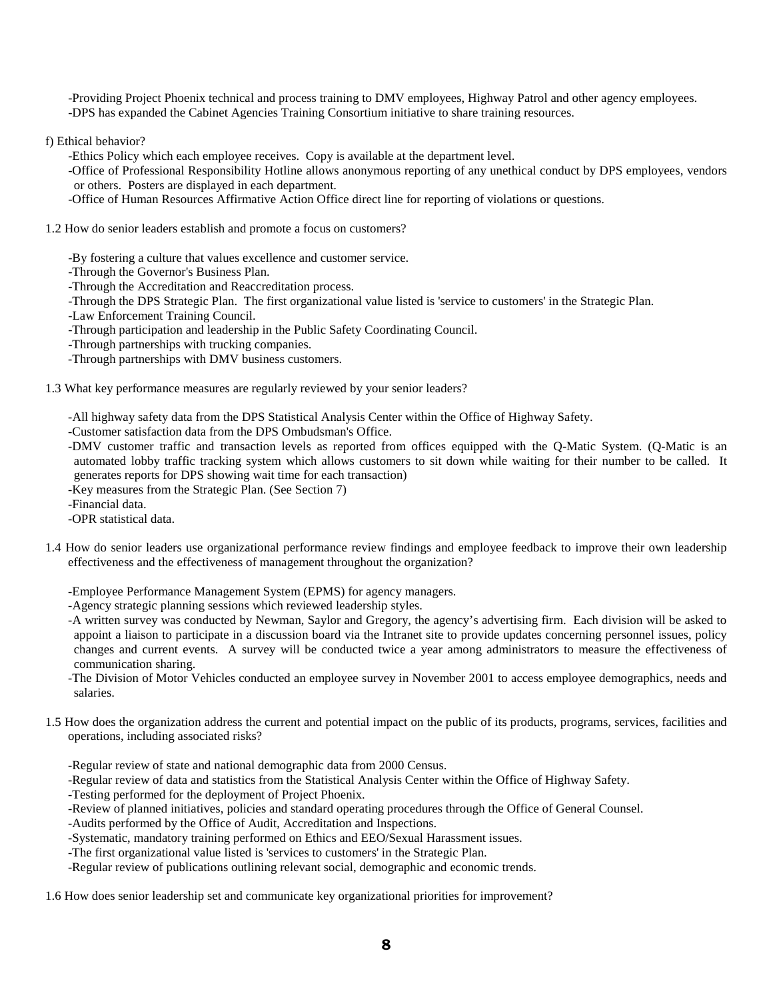-Providing Project Phoenix technical and process training to DMV employees, Highway Patrol and other agency employees. -DPS has expanded the Cabinet Agencies Training Consortium initiative to share training resources.

f) Ethical behavior?

-Ethics Policy which each employee receives. Copy is available at the department level.

-Office of Professional Responsibility Hotline allows anonymous reporting of any unethical conduct by DPS employees, vendors or others. Posters are displayed in each department.

-Office of Human Resources Affirmative Action Office direct line for reporting of violations or questions.

#### 1.2 How do senior leaders establish and promote a focus on customers?

-By fostering a culture that values excellence and customer service.

- -Through the Governor's Business Plan.
- -Through the Accreditation and Reaccreditation process.
- -Through the DPS Strategic Plan. The first organizational value listed is 'service to customers' in the Strategic Plan.
- -Law Enforcement Training Council.
- -Through participation and leadership in the Public Safety Coordinating Council.
- -Through partnerships with trucking companies.
- -Through partnerships with DMV business customers.

1.3 What key performance measures are regularly reviewed by your senior leaders?

-All highway safety data from the DPS Statistical Analysis Center within the Office of Highway Safety.

-Customer satisfaction data from the DPS Ombudsman's Office.

- -DMV customer traffic and transaction levels as reported from offices equipped with the Q-Matic System. (Q-Matic is an automated lobby traffic tracking system which allows customers to sit down while waiting for their number to be called. It generates reports for DPS showing wait time for each transaction)
- -Key measures from the Strategic Plan. (See Section 7)
- -Financial data.

-OPR statistical data.

- 1.4 How do senior leaders use organizational performance review findings and employee feedback to improve their own leadership effectiveness and the effectiveness of management throughout the organization?
	- -Employee Performance Management System (EPMS) for agency managers.
	- -Agency strategic planning sessions which reviewed leadership styles.
	- -A written survey was conducted by Newman, Saylor and Gregory, the agency's advertising firm. Each division will be asked to appoint a liaison to participate in a discussion board via the Intranet site to provide updates concerning personnel issues, policy changes and current events. A survey will be conducted twice a year among administrators to measure the effectiveness of communication sharing.
	- -The Division of Motor Vehicles conducted an employee survey in November 2001 to access employee demographics, needs and salaries.
- 1.5 How does the organization address the current and potential impact on the public of its products, programs, services, facilities and operations, including associated risks?
	- -Regular review of state and national demographic data from 2000 Census.
	- -Regular review of data and statistics from the Statistical Analysis Center within the Office of Highway Safety.
	- -Testing performed for the deployment of Project Phoenix.
	- -Review of planned initiatives, policies and standard operating procedures through the Office of General Counsel.
	- -Audits performed by the Office of Audit, Accreditation and Inspections.
	- -Systematic, mandatory training performed on Ethics and EEO/Sexual Harassment issues.
	- -The first organizational value listed is 'services to customers' in the Strategic Plan.
	- -Regular review of publications outlining relevant social, demographic and economic trends.
- 1.6 How does senior leadership set and communicate key organizational priorities for improvement?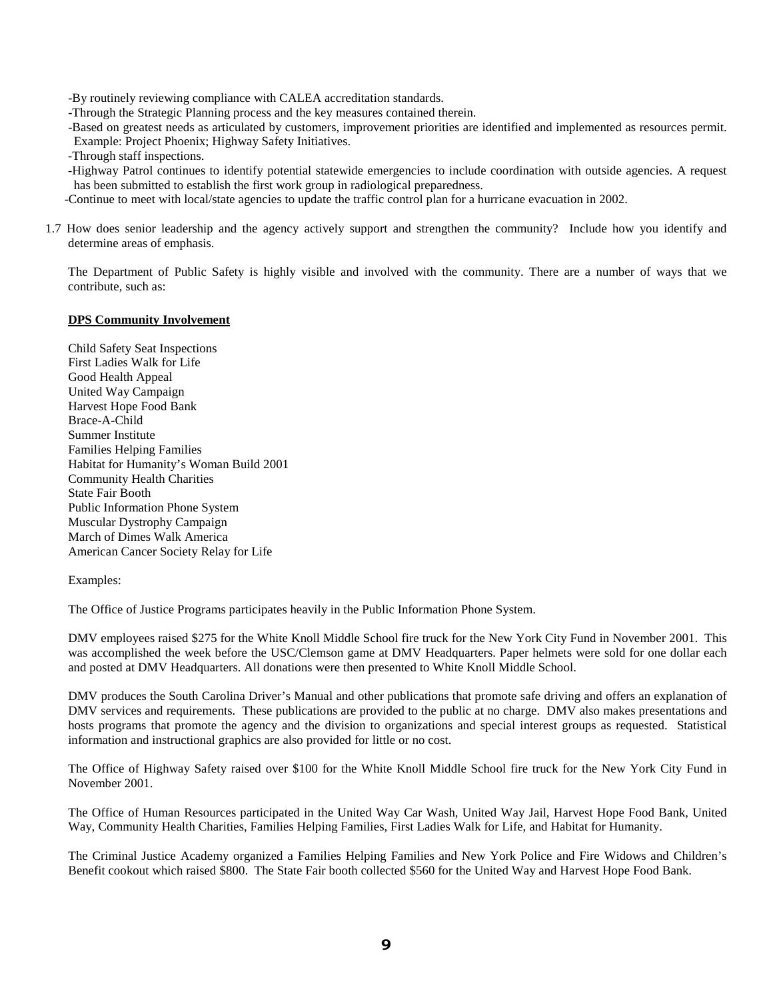-By routinely reviewing compliance with CALEA accreditation standards.

-Through the Strategic Planning process and the key measures contained therein.

-Based on greatest needs as articulated by customers, improvement priorities are identified and implemented as resources permit. Example: Project Phoenix; Highway Safety Initiatives.

-Through staff inspections.

-Highway Patrol continues to identify potential statewide emergencies to include coordination with outside agencies. A request has been submitted to establish the first work group in radiological preparedness.

-Continue to meet with local/state agencies to update the traffic control plan for a hurricane evacuation in 2002.

1.7 How does senior leadership and the agency actively support and strengthen the community? Include how you identify and determine areas of emphasis.

The Department of Public Safety is highly visible and involved with the community. There are a number of ways that we contribute, such as:

#### **DPS Community Involvement**

Child Safety Seat Inspections First Ladies Walk for Life Good Health Appeal United Way Campaign Harvest Hope Food Bank Brace-A-Child Summer Institute Families Helping Families Habitat for Humanity's Woman Build 2001 Community Health Charities State Fair Booth Public Information Phone System Muscular Dystrophy Campaign March of Dimes Walk America American Cancer Society Relay for Life

#### Examples:

The Office of Justice Programs participates heavily in the Public Information Phone System.

DMV employees raised \$275 for the White Knoll Middle School fire truck for the New York City Fund in November 2001. This was accomplished the week before the USC/Clemson game at DMV Headquarters. Paper helmets were sold for one dollar each and posted at DMV Headquarters. All donations were then presented to White Knoll Middle School.

DMV produces the South Carolina Driver's Manual and other publications that promote safe driving and offers an explanation of DMV services and requirements. These publications are provided to the public at no charge. DMV also makes presentations and hosts programs that promote the agency and the division to organizations and special interest groups as requested. Statistical information and instructional graphics are also provided for little or no cost.

The Office of Highway Safety raised over \$100 for the White Knoll Middle School fire truck for the New York City Fund in November 2001.

The Office of Human Resources participated in the United Way Car Wash, United Way Jail, Harvest Hope Food Bank, United Way, Community Health Charities, Families Helping Families, First Ladies Walk for Life, and Habitat for Humanity.

The Criminal Justice Academy organized a Families Helping Families and New York Police and Fire Widows and Children's Benefit cookout which raised \$800. The State Fair booth collected \$560 for the United Way and Harvest Hope Food Bank.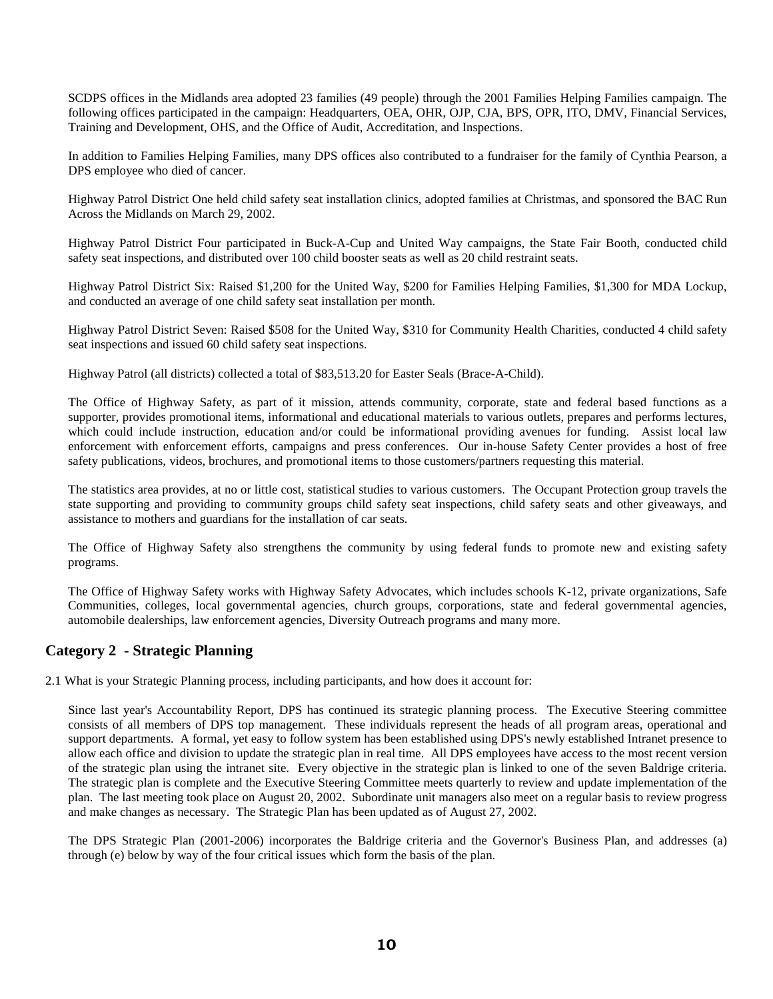SCDPS offices in the Midlands area adopted 23 families (49 people) through the 2001 Families Helping Families campaign. The following offices participated in the campaign: Headquarters, OEA, OHR, OJP, CJA, BPS, OPR, ITO, DMV, Financial Services, Training and Development, OHS, and the Office of Audit, Accreditation, and Inspections.

In addition to Families Helping Families, many DPS offices also contributed to a fundraiser for the family of Cynthia Pearson, a DPS employee who died of cancer.

Highway Patrol District One held child safety seat installation clinics, adopted families at Christmas, and sponsored the BAC Run Across the Midlands on March 29, 2002.

Highway Patrol District Four participated in Buck-A-Cup and United Way campaigns, the State Fair Booth, conducted child safety seat inspections, and distributed over 100 child booster seats as well as 20 child restraint seats.

Highway Patrol District Six: Raised \$1,200 for the United Way, \$200 for Families Helping Families, \$1,300 for MDA Lockup, and conducted an average of one child safety seat installation per month.

Highway Patrol District Seven: Raised \$508 for the United Way, \$310 for Community Health Charities, conducted 4 child safety seat inspections and issued 60 child safety seat inspections.

Highway Patrol (all districts) collected a total of \$83,513.20 for Easter Seals (Brace-A-Child).

The Office of Highway Safety, as part of it mission, attends community, corporate, state and federal based functions as a supporter, provides promotional items, informational and educational materials to various outlets, prepares and performs lectures, which could include instruction, education and/or could be informational providing avenues for funding. Assist local law enforcement with enforcement efforts, campaigns and press conferences. Our in-house Safety Center provides a host of free safety publications, videos, brochures, and promotional items to those customers/partners requesting this material.

The statistics area provides, at no or little cost, statistical studies to various customers. The Occupant Protection group travels the state supporting and providing to community groups child safety seat inspections, child safety seats and other giveaways, and assistance to mothers and guardians for the installation of car seats.

The Office of Highway Safety also strengthens the community by using federal funds to promote new and existing safety programs.

The Office of Highway Safety works with Highway Safety Advocates, which includes schools K-12, private organizations, Safe Communities, colleges, local governmental agencies, church groups, corporations, state and federal governmental agencies, automobile dealerships, law enforcement agencies, Diversity Outreach programs and many more.

### **Category 2 - Strategic Planning**

2.1 What is your Strategic Planning process, including participants, and how does it account for:

Since last year's Accountability Report, DPS has continued its strategic planning process. The Executive Steering committee consists of all members of DPS top management. These individuals represent the heads of all program areas, operational and support departments. A formal, yet easy to follow system has been established using DPS's newly established Intranet presence to allow each office and division to update the strategic plan in real time. All DPS employees have access to the most recent version of the strategic plan using the intranet site. Every objective in the strategic plan is linked to one of the seven Baldrige criteria. The strategic plan is complete and the Executive Steering Committee meets quarterly to review and update implementation of the plan. The last meeting took place on August 20, 2002. Subordinate unit managers also meet on a regular basis to review progress and make changes as necessary. The Strategic Plan has been updated as of August 27, 2002.

The DPS Strategic Plan (2001-2006) incorporates the Baldrige criteria and the Governor's Business Plan, and addresses (a) through (e) below by way of the four critical issues which form the basis of the plan.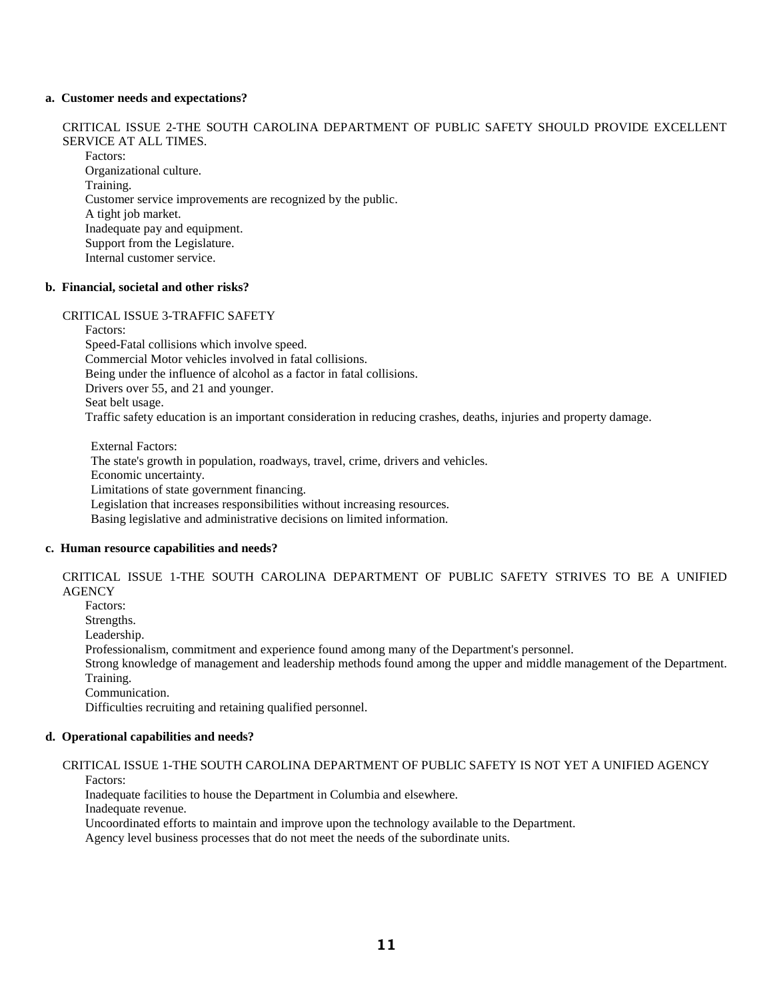#### **a. Customer needs and expectations?**

CRITICAL ISSUE 2-THE SOUTH CAROLINA DEPARTMENT OF PUBLIC SAFETY SHOULD PROVIDE EXCELLENT SERVICE AT ALL TIMES. Factors: Organizational culture. Training. Customer service improvements are recognized by the public. A tight job market. Inadequate pay and equipment.

Support from the Legislature.

Internal customer service.

#### **b. Financial, societal and other risks?**

#### CRITICAL ISSUE 3-TRAFFIC SAFETY

Factors: Speed-Fatal collisions which involve speed. Commercial Motor vehicles involved in fatal collisions. Being under the influence of alcohol as a factor in fatal collisions. Drivers over 55, and 21 and younger. Seat belt usage. Traffic safety education is an important consideration in reducing crashes, deaths, injuries and property damage.

External Factors: The state's growth in population, roadways, travel, crime, drivers and vehicles. Economic uncertainty. Limitations of state government financing. Legislation that increases responsibilities without increasing resources. Basing legislative and administrative decisions on limited information.

#### **c. Human resource capabilities and needs?**

CRITICAL ISSUE 1-THE SOUTH CAROLINA DEPARTMENT OF PUBLIC SAFETY STRIVES TO BE A UNIFIED **AGENCY** 

Factors:

Strengths.

Leadership.

Professionalism, commitment and experience found among many of the Department's personnel.

Strong knowledge of management and leadership methods found among the upper and middle management of the Department. Training.

Communication.

Difficulties recruiting and retaining qualified personnel.

#### **d. Operational capabilities and needs?**

#### CRITICAL ISSUE 1-THE SOUTH CAROLINA DEPARTMENT OF PUBLIC SAFETY IS NOT YET A UNIFIED AGENCY Factors:

Inadequate facilities to house the Department in Columbia and elsewhere.

Inadequate revenue.

Uncoordinated efforts to maintain and improve upon the technology available to the Department.

Agency level business processes that do not meet the needs of the subordinate units.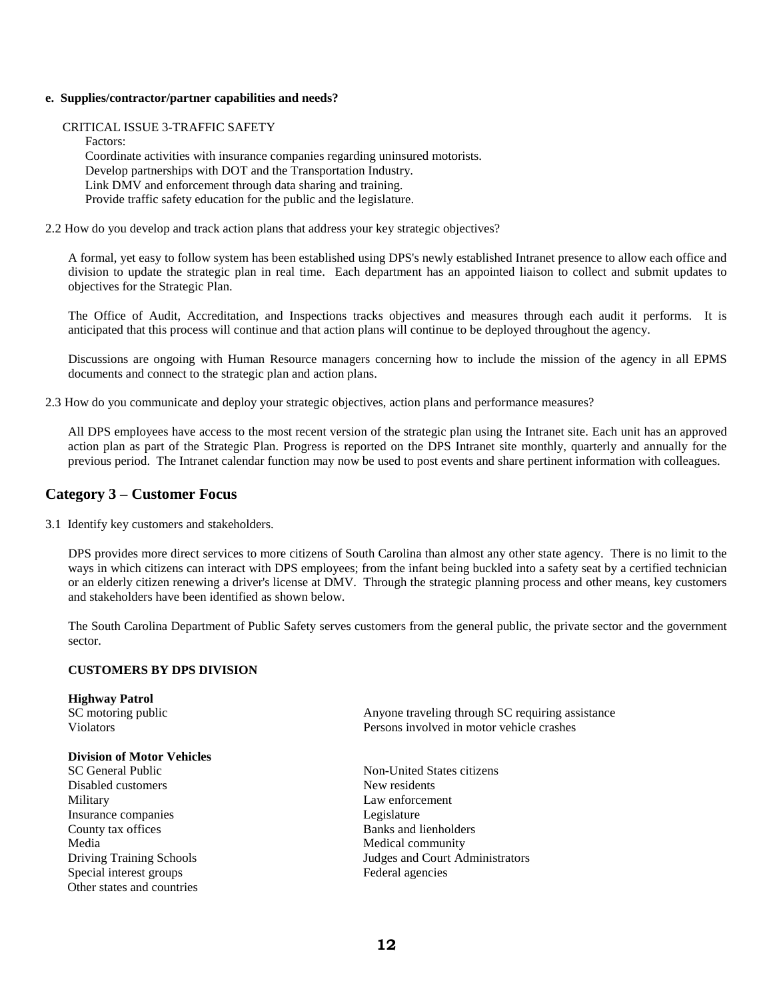#### **e. Supplies/contractor/partner capabilities and needs?**

CRITICAL ISSUE 3-TRAFFIC SAFETY

Factors: Coordinate activities with insurance companies regarding uninsured motorists. Develop partnerships with DOT and the Transportation Industry. Link DMV and enforcement through data sharing and training. Provide traffic safety education for the public and the legislature.

2.2 How do you develop and track action plans that address your key strategic objectives?

A formal, yet easy to follow system has been established using DPS's newly established Intranet presence to allow each office and division to update the strategic plan in real time. Each department has an appointed liaison to collect and submit updates to objectives for the Strategic Plan.

The Office of Audit, Accreditation, and Inspections tracks objectives and measures through each audit it performs. It is anticipated that this process will continue and that action plans will continue to be deployed throughout the agency.

Discussions are ongoing with Human Resource managers concerning how to include the mission of the agency in all EPMS documents and connect to the strategic plan and action plans.

2.3 How do you communicate and deploy your strategic objectives, action plans and performance measures?

All DPS employees have access to the most recent version of the strategic plan using the Intranet site. Each unit has an approved action plan as part of the Strategic Plan. Progress is reported on the DPS Intranet site monthly, quarterly and annually for the previous period. The Intranet calendar function may now be used to post events and share pertinent information with colleagues.

#### **Category 3 – Customer Focus**

3.1 Identify key customers and stakeholders.

DPS provides more direct services to more citizens of South Carolina than almost any other state agency. There is no limit to the ways in which citizens can interact with DPS employees; from the infant being buckled into a safety seat by a certified technician or an elderly citizen renewing a driver's license at DMV. Through the strategic planning process and other means, key customers and stakeholders have been identified as shown below.

The South Carolina Department of Public Safety serves customers from the general public, the private sector and the government sector.

#### **CUSTOMERS BY DPS DIVISION**

| <b>Highway Patrol</b><br>SC motoring public | Anyone traveling through SC requiring assistance |
|---------------------------------------------|--------------------------------------------------|
| <b>Violators</b>                            | Persons involved in motor vehicle crashes        |
| <b>Division of Motor Vehicles</b>           |                                                  |
| SC General Public                           | Non-United States citizens                       |
| Disabled customers                          | New residents                                    |
| Military                                    | Law enforcement                                  |
| Insurance companies                         | Legislature                                      |
| County tax offices                          | Banks and lienholders                            |
| Media                                       | Medical community                                |
| <b>Driving Training Schools</b>             | Judges and Court Administrators                  |
| Special interest groups                     | Federal agencies                                 |
| Other states and countries                  |                                                  |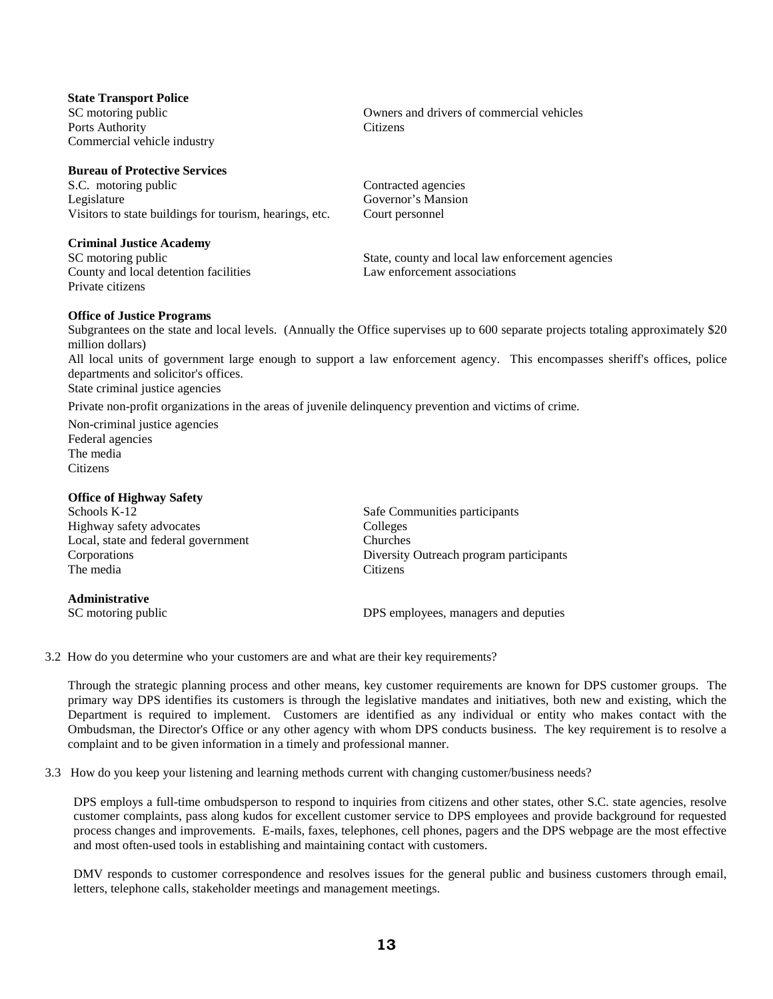| <b>State Transport Police</b> |
|-------------------------------|
| SC motoring public            |
| Ports Authority               |
| Commercial vehicle industry   |

#### **Bureau of Protective Services**

S.C. motoring public Contracted agencies Legislature Governor's Mansion Visitors to state buildings for tourism, hearings, etc. Court personnel

#### **Criminal Justice Academy**

County and local detention facilities Law enforcement associations Private citizens

# **Citizens**

Owners and drivers of commercial vehicles

SC motoring public State, county and local law enforcement agencies

#### **Office of Justice Programs**

Subgrantees on the state and local levels. (Annually the Office supervises up to 600 separate projects totaling approximately \$20 million dollars)

All local units of government large enough to support a law enforcement agency. This encompasses sheriff's offices, police departments and solicitor's offices.

State criminal justice agencies

Private non-profit organizations in the areas of juvenile delinquency prevention and victims of crime.

Non-criminal justice agencies Federal agencies The media Citizens

#### **Office of Highway Safety**

| Schools K-12                        | Safe Communities participants           |
|-------------------------------------|-----------------------------------------|
| Highway safety advocates            | Colleges                                |
| Local, state and federal government | Churches                                |
| Corporations                        | Diversity Outreach program participants |
| The media                           | <b>Citizens</b>                         |
| <b>Administrative</b>               |                                         |

SC motoring public **SC** motoring public **DPS** employees, managers and deputies

3.2 How do you determine who your customers are and what are their key requirements?

Through the strategic planning process and other means, key customer requirements are known for DPS customer groups. The primary way DPS identifies its customers is through the legislative mandates and initiatives, both new and existing, which the Department is required to implement. Customers are identified as any individual or entity who makes contact with the Ombudsman, the Director's Office or any other agency with whom DPS conducts business. The key requirement is to resolve a complaint and to be given information in a timely and professional manner.

3.3 How do you keep your listening and learning methods current with changing customer/business needs?

DPS employs a full-time ombudsperson to respond to inquiries from citizens and other states, other S.C. state agencies, resolve customer complaints, pass along kudos for excellent customer service to DPS employees and provide background for requested process changes and improvements. E-mails, faxes, telephones, cell phones, pagers and the DPS webpage are the most effective and most often-used tools in establishing and maintaining contact with customers.

DMV responds to customer correspondence and resolves issues for the general public and business customers through email, letters, telephone calls, stakeholder meetings and management meetings.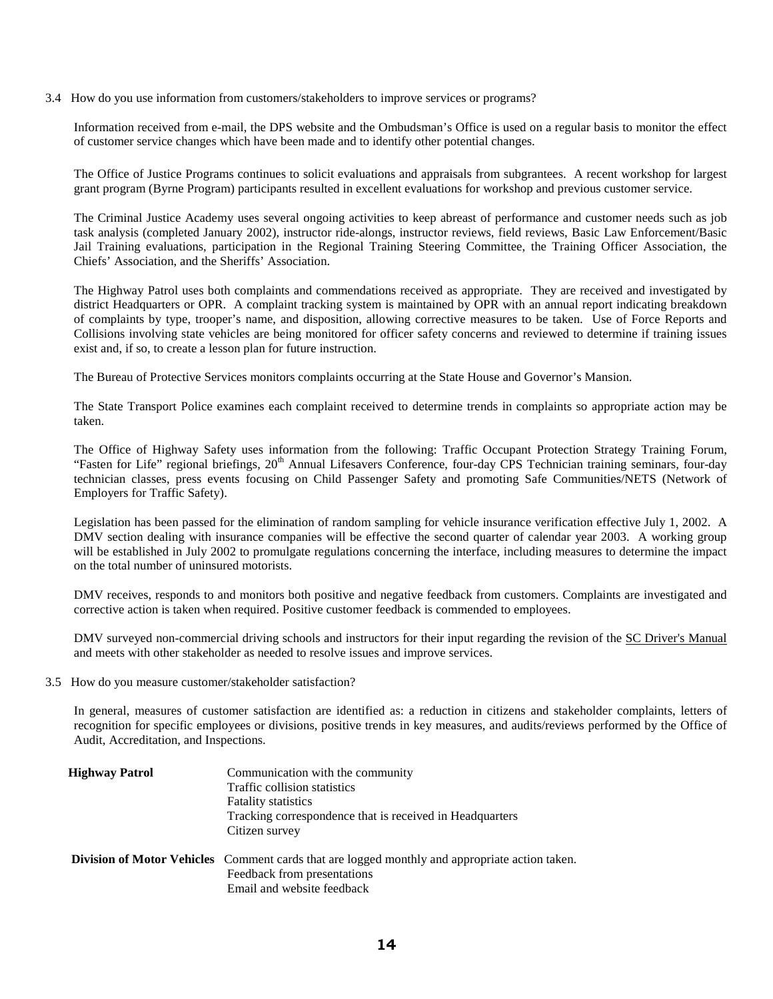3.4 How do you use information from customers/stakeholders to improve services or programs?

Information received from e-mail, the DPS website and the Ombudsman's Office is used on a regular basis to monitor the effect of customer service changes which have been made and to identify other potential changes.

The Office of Justice Programs continues to solicit evaluations and appraisals from subgrantees. A recent workshop for largest grant program (Byrne Program) participants resulted in excellent evaluations for workshop and previous customer service.

The Criminal Justice Academy uses several ongoing activities to keep abreast of performance and customer needs such as job task analysis (completed January 2002), instructor ride-alongs, instructor reviews, field reviews, Basic Law Enforcement/Basic Jail Training evaluations, participation in the Regional Training Steering Committee, the Training Officer Association, the Chiefs' Association, and the Sheriffs' Association.

The Highway Patrol uses both complaints and commendations received as appropriate. They are received and investigated by district Headquarters or OPR. A complaint tracking system is maintained by OPR with an annual report indicating breakdown of complaints by type, trooper's name, and disposition, allowing corrective measures to be taken. Use of Force Reports and Collisions involving state vehicles are being monitored for officer safety concerns and reviewed to determine if training issues exist and, if so, to create a lesson plan for future instruction.

The Bureau of Protective Services monitors complaints occurring at the State House and Governor's Mansion.

The State Transport Police examines each complaint received to determine trends in complaints so appropriate action may be taken.

The Office of Highway Safety uses information from the following: Traffic Occupant Protection Strategy Training Forum, "Fasten for Life" regional briefings, 20<sup>th</sup> Annual Lifesavers Conference, four-day CPS Technician training seminars, four-day technician classes, press events focusing on Child Passenger Safety and promoting Safe Communities/NETS (Network of Employers for Traffic Safety).

Legislation has been passed for the elimination of random sampling for vehicle insurance verification effective July 1, 2002. A DMV section dealing with insurance companies will be effective the second quarter of calendar year 2003. A working group will be established in July 2002 to promulgate regulations concerning the interface, including measures to determine the impact on the total number of uninsured motorists.

DMV receives, responds to and monitors both positive and negative feedback from customers. Complaints are investigated and corrective action is taken when required. Positive customer feedback is commended to employees.

DMV surveyed non-commercial driving schools and instructors for their input regarding the revision of the SC Driver's Manual and meets with other stakeholder as needed to resolve issues and improve services.

3.5 How do you measure customer/stakeholder satisfaction?

In general, measures of customer satisfaction are identified as: a reduction in citizens and stakeholder complaints, letters of recognition for specific employees or divisions, positive trends in key measures, and audits/reviews performed by the Office of Audit, Accreditation, and Inspections.

| <b>Highway Patrol</b> | Communication with the community                                                                      |  |  |  |
|-----------------------|-------------------------------------------------------------------------------------------------------|--|--|--|
|                       | Traffic collision statistics                                                                          |  |  |  |
|                       | <b>Fatality statistics</b>                                                                            |  |  |  |
|                       | Tracking correspondence that is received in Headquarters                                              |  |  |  |
|                       | Citizen survey                                                                                        |  |  |  |
|                       | <b>Division of Motor Vehicles</b> Comment cards that are logged monthly and appropriate action taken. |  |  |  |
|                       | Feedback from presentations                                                                           |  |  |  |
|                       | Email and website feedback                                                                            |  |  |  |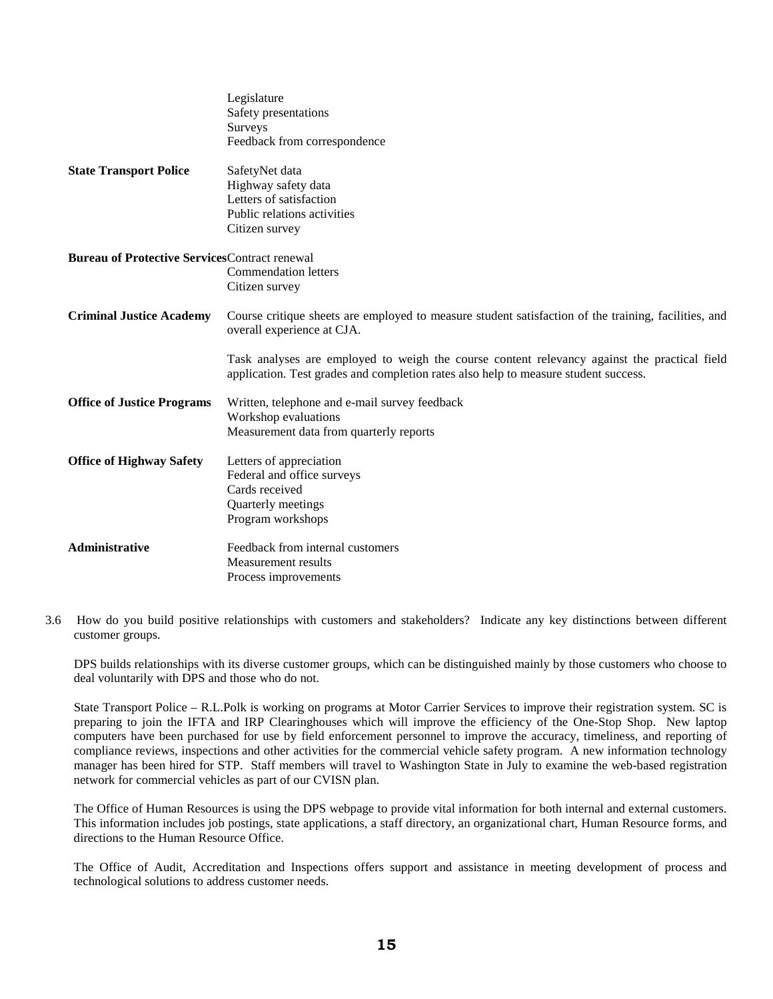|                                                      | Legislature<br>Safety presentations<br>Surveys                                                                                                                                      |
|------------------------------------------------------|-------------------------------------------------------------------------------------------------------------------------------------------------------------------------------------|
|                                                      | Feedback from correspondence                                                                                                                                                        |
| <b>State Transport Police</b>                        | SafetyNet data                                                                                                                                                                      |
|                                                      | Highway safety data                                                                                                                                                                 |
|                                                      | Letters of satisfaction                                                                                                                                                             |
|                                                      | Public relations activities                                                                                                                                                         |
|                                                      | Citizen survey                                                                                                                                                                      |
| <b>Bureau of Protective ServicesContract renewal</b> |                                                                                                                                                                                     |
|                                                      | <b>Commendation letters</b>                                                                                                                                                         |
|                                                      | Citizen survey                                                                                                                                                                      |
| <b>Criminal Justice Academy</b>                      | Course critique sheets are employed to measure student satisfaction of the training, facilities, and<br>overall experience at CJA.                                                  |
|                                                      | Task analyses are employed to weigh the course content relevancy against the practical field<br>application. Test grades and completion rates also help to measure student success. |
| <b>Office of Justice Programs</b>                    | Written, telephone and e-mail survey feedback                                                                                                                                       |
|                                                      | Workshop evaluations                                                                                                                                                                |
|                                                      | Measurement data from quarterly reports                                                                                                                                             |
| <b>Office of Highway Safety</b>                      | Letters of appreciation                                                                                                                                                             |
|                                                      | Federal and office surveys                                                                                                                                                          |
|                                                      | Cards received                                                                                                                                                                      |
|                                                      | Quarterly meetings                                                                                                                                                                  |
|                                                      | Program workshops                                                                                                                                                                   |
| Administrative                                       | Feedback from internal customers                                                                                                                                                    |
|                                                      | Measurement results                                                                                                                                                                 |
|                                                      | Process improvements                                                                                                                                                                |

3.6 How do you build positive relationships with customers and stakeholders? Indicate any key distinctions between different customer groups.

DPS builds relationships with its diverse customer groups, which can be distinguished mainly by those customers who choose to deal voluntarily with DPS and those who do not.

State Transport Police – R.L.Polk is working on programs at Motor Carrier Services to improve their registration system. SC is preparing to join the IFTA and IRP Clearinghouses which will improve the efficiency of the One-Stop Shop. New laptop computers have been purchased for use by field enforcement personnel to improve the accuracy, timeliness, and reporting of compliance reviews, inspections and other activities for the commercial vehicle safety program. A new information technology manager has been hired for STP. Staff members will travel to Washington State in July to examine the web-based registration network for commercial vehicles as part of our CVISN plan.

The Office of Human Resources is using the DPS webpage to provide vital information for both internal and external customers. This information includes job postings, state applications, a staff directory, an organizational chart, Human Resource forms, and directions to the Human Resource Office.

The Office of Audit, Accreditation and Inspections offers support and assistance in meeting development of process and technological solutions to address customer needs.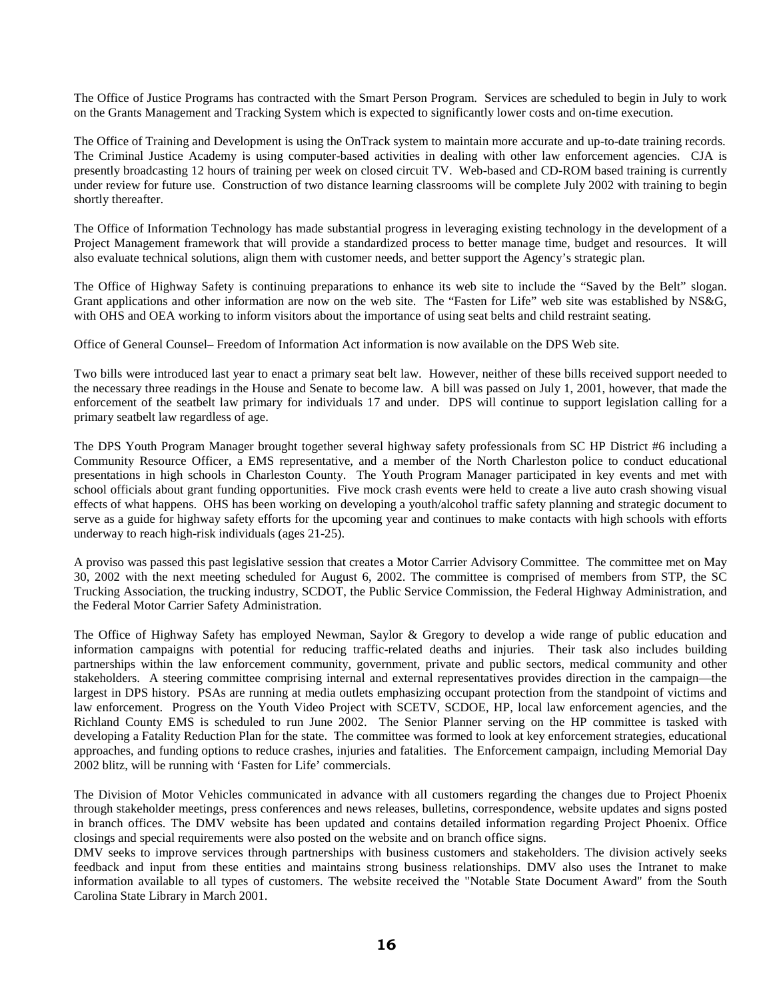The Office of Justice Programs has contracted with the Smart Person Program. Services are scheduled to begin in July to work on the Grants Management and Tracking System which is expected to significantly lower costs and on-time execution.

The Office of Training and Development is using the OnTrack system to maintain more accurate and up-to-date training records. The Criminal Justice Academy is using computer-based activities in dealing with other law enforcement agencies. CJA is presently broadcasting 12 hours of training per week on closed circuit TV. Web-based and CD-ROM based training is currently under review for future use. Construction of two distance learning classrooms will be complete July 2002 with training to begin shortly thereafter.

The Office of Information Technology has made substantial progress in leveraging existing technology in the development of a Project Management framework that will provide a standardized process to better manage time, budget and resources. It will also evaluate technical solutions, align them with customer needs, and better support the Agency's strategic plan.

The Office of Highway Safety is continuing preparations to enhance its web site to include the "Saved by the Belt" slogan. Grant applications and other information are now on the web site. The "Fasten for Life" web site was established by NS&G, with OHS and OEA working to inform visitors about the importance of using seat belts and child restraint seating.

Office of General Counsel– Freedom of Information Act information is now available on the DPS Web site.

Two bills were introduced last year to enact a primary seat belt law. However, neither of these bills received support needed to the necessary three readings in the House and Senate to become law. A bill was passed on July 1, 2001, however, that made the enforcement of the seatbelt law primary for individuals 17 and under. DPS will continue to support legislation calling for a primary seatbelt law regardless of age.

The DPS Youth Program Manager brought together several highway safety professionals from SC HP District #6 including a Community Resource Officer, a EMS representative, and a member of the North Charleston police to conduct educational presentations in high schools in Charleston County. The Youth Program Manager participated in key events and met with school officials about grant funding opportunities. Five mock crash events were held to create a live auto crash showing visual effects of what happens. OHS has been working on developing a youth/alcohol traffic safety planning and strategic document to serve as a guide for highway safety efforts for the upcoming year and continues to make contacts with high schools with efforts underway to reach high-risk individuals (ages 21-25).

A proviso was passed this past legislative session that creates a Motor Carrier Advisory Committee. The committee met on May 30, 2002 with the next meeting scheduled for August 6, 2002. The committee is comprised of members from STP, the SC Trucking Association, the trucking industry, SCDOT, the Public Service Commission, the Federal Highway Administration, and the Federal Motor Carrier Safety Administration.

The Office of Highway Safety has employed Newman, Saylor & Gregory to develop a wide range of public education and information campaigns with potential for reducing traffic-related deaths and injuries. Their task also includes building partnerships within the law enforcement community, government, private and public sectors, medical community and other stakeholders. A steering committee comprising internal and external representatives provides direction in the campaign—the largest in DPS history. PSAs are running at media outlets emphasizing occupant protection from the standpoint of victims and law enforcement. Progress on the Youth Video Project with SCETV, SCDOE, HP, local law enforcement agencies, and the Richland County EMS is scheduled to run June 2002. The Senior Planner serving on the HP committee is tasked with developing a Fatality Reduction Plan for the state. The committee was formed to look at key enforcement strategies, educational approaches, and funding options to reduce crashes, injuries and fatalities. The Enforcement campaign, including Memorial Day 2002 blitz, will be running with 'Fasten for Life' commercials.

The Division of Motor Vehicles communicated in advance with all customers regarding the changes due to Project Phoenix through stakeholder meetings, press conferences and news releases, bulletins, correspondence, website updates and signs posted in branch offices. The DMV website has been updated and contains detailed information regarding Project Phoenix. Office closings and special requirements were also posted on the website and on branch office signs.

DMV seeks to improve services through partnerships with business customers and stakeholders. The division actively seeks feedback and input from these entities and maintains strong business relationships. DMV also uses the Intranet to make information available to all types of customers. The website received the "Notable State Document Award" from the South Carolina State Library in March 2001.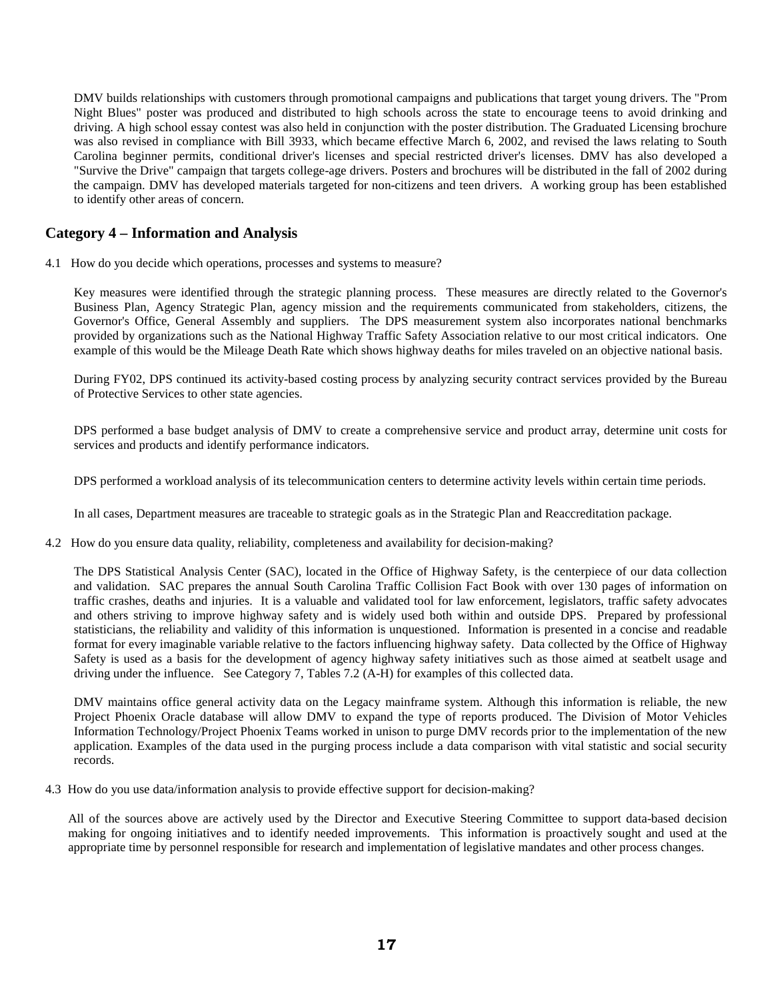DMV builds relationships with customers through promotional campaigns and publications that target young drivers. The "Prom Night Blues" poster was produced and distributed to high schools across the state to encourage teens to avoid drinking and driving. A high school essay contest was also held in conjunction with the poster distribution. The Graduated Licensing brochure was also revised in compliance with Bill 3933, which became effective March 6, 2002, and revised the laws relating to South Carolina beginner permits, conditional driver's licenses and special restricted driver's licenses. DMV has also developed a "Survive the Drive" campaign that targets college-age drivers. Posters and brochures will be distributed in the fall of 2002 during the campaign. DMV has developed materials targeted for non-citizens and teen drivers. A working group has been established to identify other areas of concern.

# **Category 4 – Information and Analysis**

4.1 How do you decide which operations, processes and systems to measure?

Key measures were identified through the strategic planning process. These measures are directly related to the Governor's Business Plan, Agency Strategic Plan, agency mission and the requirements communicated from stakeholders, citizens, the Governor's Office, General Assembly and suppliers. The DPS measurement system also incorporates national benchmarks provided by organizations such as the National Highway Traffic Safety Association relative to our most critical indicators. One example of this would be the Mileage Death Rate which shows highway deaths for miles traveled on an objective national basis.

During FY02, DPS continued its activity-based costing process by analyzing security contract services provided by the Bureau of Protective Services to other state agencies.

DPS performed a base budget analysis of DMV to create a comprehensive service and product array, determine unit costs for services and products and identify performance indicators.

DPS performed a workload analysis of its telecommunication centers to determine activity levels within certain time periods.

In all cases, Department measures are traceable to strategic goals as in the Strategic Plan and Reaccreditation package.

4.2 How do you ensure data quality, reliability, completeness and availability for decision-making?

The DPS Statistical Analysis Center (SAC), located in the Office of Highway Safety, is the centerpiece of our data collection and validation. SAC prepares the annual South Carolina Traffic Collision Fact Book with over 130 pages of information on traffic crashes, deaths and injuries. It is a valuable and validated tool for law enforcement, legislators, traffic safety advocates and others striving to improve highway safety and is widely used both within and outside DPS. Prepared by professional statisticians, the reliability and validity of this information is unquestioned. Information is presented in a concise and readable format for every imaginable variable relative to the factors influencing highway safety. Data collected by the Office of Highway Safety is used as a basis for the development of agency highway safety initiatives such as those aimed at seatbelt usage and driving under the influence. See Category 7, Tables 7.2 (A-H) for examples of this collected data.

DMV maintains office general activity data on the Legacy mainframe system. Although this information is reliable, the new Project Phoenix Oracle database will allow DMV to expand the type of reports produced. The Division of Motor Vehicles Information Technology/Project Phoenix Teams worked in unison to purge DMV records prior to the implementation of the new application. Examples of the data used in the purging process include a data comparison with vital statistic and social security records.

4.3 How do you use data/information analysis to provide effective support for decision-making?

All of the sources above are actively used by the Director and Executive Steering Committee to support data-based decision making for ongoing initiatives and to identify needed improvements. This information is proactively sought and used at the appropriate time by personnel responsible for research and implementation of legislative mandates and other process changes.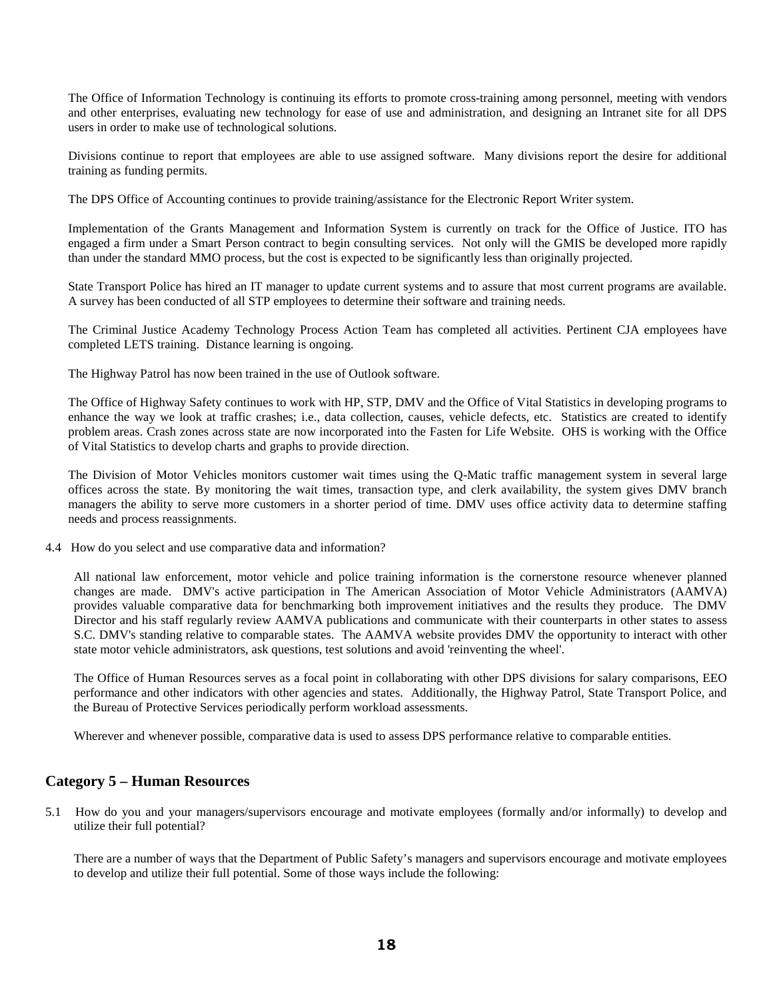The Office of Information Technology is continuing its efforts to promote cross-training among personnel, meeting with vendors and other enterprises, evaluating new technology for ease of use and administration, and designing an Intranet site for all DPS users in order to make use of technological solutions.

Divisions continue to report that employees are able to use assigned software. Many divisions report the desire for additional training as funding permits.

The DPS Office of Accounting continues to provide training/assistance for the Electronic Report Writer system.

Implementation of the Grants Management and Information System is currently on track for the Office of Justice. ITO has engaged a firm under a Smart Person contract to begin consulting services. Not only will the GMIS be developed more rapidly than under the standard MMO process, but the cost is expected to be significantly less than originally projected.

State Transport Police has hired an IT manager to update current systems and to assure that most current programs are available. A survey has been conducted of all STP employees to determine their software and training needs.

The Criminal Justice Academy Technology Process Action Team has completed all activities. Pertinent CJA employees have completed LETS training. Distance learning is ongoing.

The Highway Patrol has now been trained in the use of Outlook software.

The Office of Highway Safety continues to work with HP, STP, DMV and the Office of Vital Statistics in developing programs to enhance the way we look at traffic crashes; i.e., data collection, causes, vehicle defects, etc. Statistics are created to identify problem areas. Crash zones across state are now incorporated into the Fasten for Life Website. OHS is working with the Office of Vital Statistics to develop charts and graphs to provide direction.

The Division of Motor Vehicles monitors customer wait times using the Q-Matic traffic management system in several large offices across the state. By monitoring the wait times, transaction type, and clerk availability, the system gives DMV branch managers the ability to serve more customers in a shorter period of time. DMV uses office activity data to determine staffing needs and process reassignments.

4.4 How do you select and use comparative data and information?

All national law enforcement, motor vehicle and police training information is the cornerstone resource whenever planned changes are made. DMV's active participation in The American Association of Motor Vehicle Administrators (AAMVA) provides valuable comparative data for benchmarking both improvement initiatives and the results they produce. The DMV Director and his staff regularly review AAMVA publications and communicate with their counterparts in other states to assess S.C. DMV's standing relative to comparable states. The AAMVA website provides DMV the opportunity to interact with other state motor vehicle administrators, ask questions, test solutions and avoid 'reinventing the wheel'.

The Office of Human Resources serves as a focal point in collaborating with other DPS divisions for salary comparisons, EEO performance and other indicators with other agencies and states. Additionally, the Highway Patrol, State Transport Police, and the Bureau of Protective Services periodically perform workload assessments.

Wherever and whenever possible, comparative data is used to assess DPS performance relative to comparable entities.

# **Category 5 – Human Resources**

5.1 How do you and your managers/supervisors encourage and motivate employees (formally and/or informally) to develop and utilize their full potential?

There are a number of ways that the Department of Public Safety's managers and supervisors encourage and motivate employees to develop and utilize their full potential. Some of those ways include the following: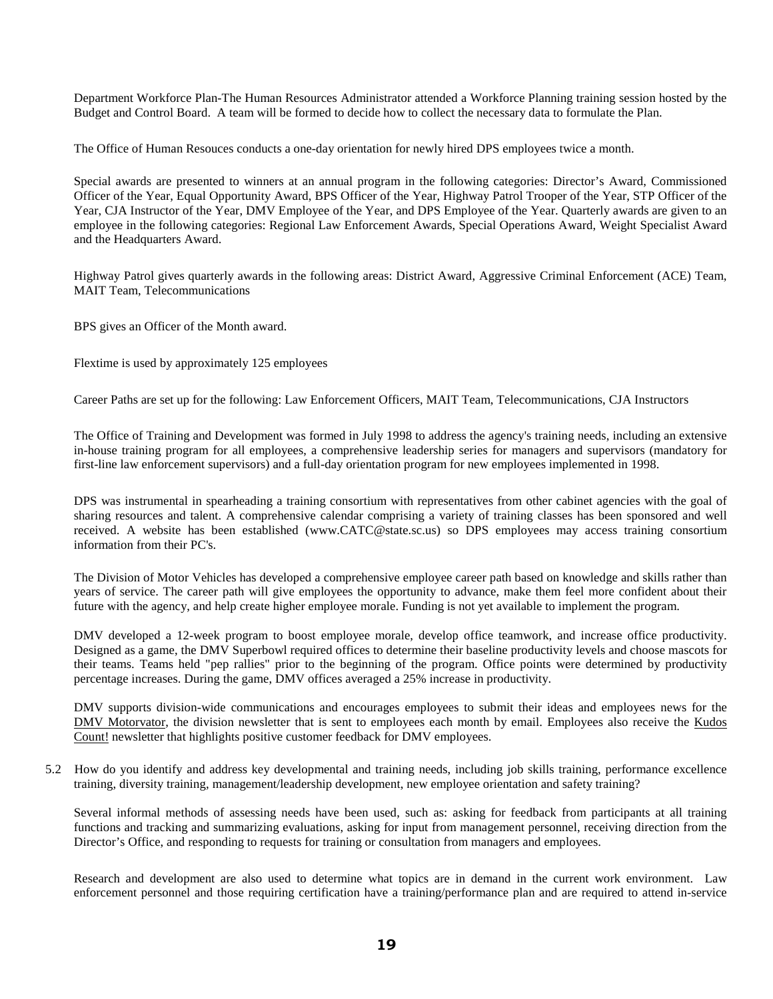Department Workforce Plan-The Human Resources Administrator attended a Workforce Planning training session hosted by the Budget and Control Board. A team will be formed to decide how to collect the necessary data to formulate the Plan.

The Office of Human Resouces conducts a one-day orientation for newly hired DPS employees twice a month.

Special awards are presented to winners at an annual program in the following categories: Director's Award, Commissioned Officer of the Year, Equal Opportunity Award, BPS Officer of the Year, Highway Patrol Trooper of the Year, STP Officer of the Year, CJA Instructor of the Year, DMV Employee of the Year, and DPS Employee of the Year. Quarterly awards are given to an employee in the following categories: Regional Law Enforcement Awards, Special Operations Award, Weight Specialist Award and the Headquarters Award.

Highway Patrol gives quarterly awards in the following areas: District Award, Aggressive Criminal Enforcement (ACE) Team, MAIT Team, Telecommunications

BPS gives an Officer of the Month award.

Flextime is used by approximately 125 employees

Career Paths are set up for the following: Law Enforcement Officers, MAIT Team, Telecommunications, CJA Instructors

The Office of Training and Development was formed in July 1998 to address the agency's training needs, including an extensive in-house training program for all employees, a comprehensive leadership series for managers and supervisors (mandatory for first-line law enforcement supervisors) and a full-day orientation program for new employees implemented in 1998.

DPS was instrumental in spearheading a training consortium with representatives from other cabinet agencies with the goal of sharing resources and talent. A comprehensive calendar comprising a variety of training classes has been sponsored and well received. A website has been established (www.CATC@state.sc.us) so DPS employees may access training consortium information from their PC's.

The Division of Motor Vehicles has developed a comprehensive employee career path based on knowledge and skills rather than years of service. The career path will give employees the opportunity to advance, make them feel more confident about their future with the agency, and help create higher employee morale. Funding is not yet available to implement the program.

DMV developed a 12-week program to boost employee morale, develop office teamwork, and increase office productivity. Designed as a game, the DMV Superbowl required offices to determine their baseline productivity levels and choose mascots for their teams. Teams held "pep rallies" prior to the beginning of the program. Office points were determined by productivity percentage increases. During the game, DMV offices averaged a 25% increase in productivity.

DMV supports division-wide communications and encourages employees to submit their ideas and employees news for the DMV Motorvator, the division newsletter that is sent to employees each month by email. Employees also receive the Kudos Count! newsletter that highlights positive customer feedback for DMV employees.

5.2 How do you identify and address key developmental and training needs, including job skills training, performance excellence training, diversity training, management/leadership development, new employee orientation and safety training?

Several informal methods of assessing needs have been used, such as: asking for feedback from participants at all training functions and tracking and summarizing evaluations, asking for input from management personnel, receiving direction from the Director's Office, and responding to requests for training or consultation from managers and employees.

Research and development are also used to determine what topics are in demand in the current work environment. Law enforcement personnel and those requiring certification have a training/performance plan and are required to attend in-service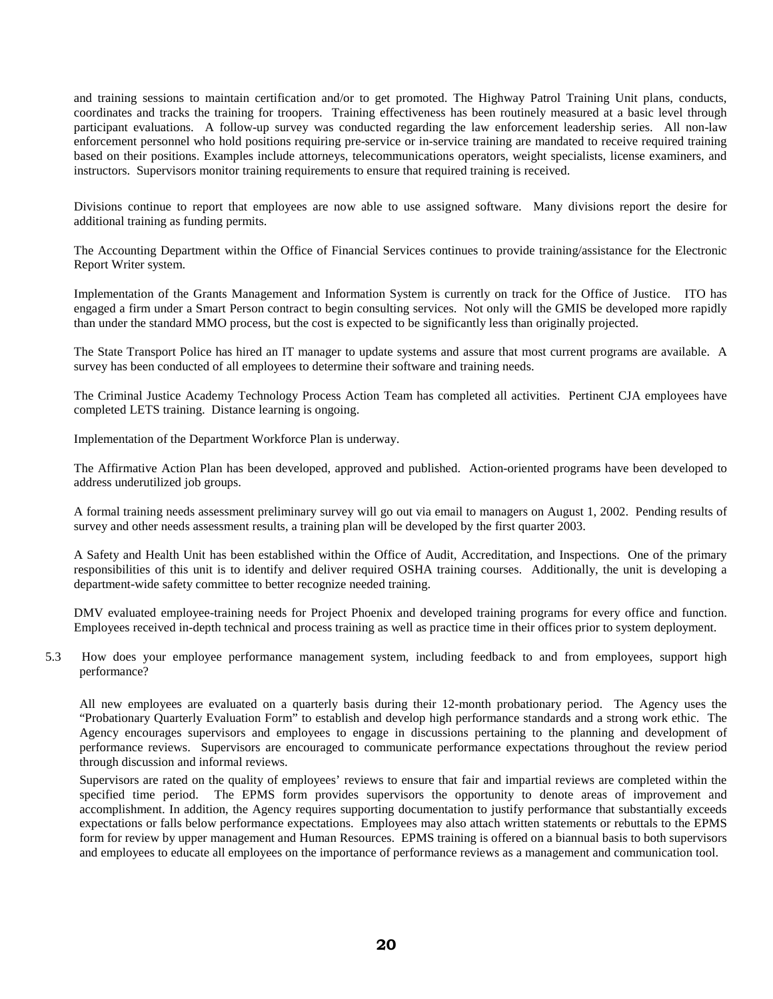and training sessions to maintain certification and/or to get promoted. The Highway Patrol Training Unit plans, conducts, coordinates and tracks the training for troopers. Training effectiveness has been routinely measured at a basic level through participant evaluations. A follow-up survey was conducted regarding the law enforcement leadership series. All non-law enforcement personnel who hold positions requiring pre-service or in-service training are mandated to receive required training based on their positions. Examples include attorneys, telecommunications operators, weight specialists, license examiners, and instructors. Supervisors monitor training requirements to ensure that required training is received.

Divisions continue to report that employees are now able to use assigned software. Many divisions report the desire for additional training as funding permits.

The Accounting Department within the Office of Financial Services continues to provide training/assistance for the Electronic Report Writer system.

Implementation of the Grants Management and Information System is currently on track for the Office of Justice. ITO has engaged a firm under a Smart Person contract to begin consulting services. Not only will the GMIS be developed more rapidly than under the standard MMO process, but the cost is expected to be significantly less than originally projected.

The State Transport Police has hired an IT manager to update systems and assure that most current programs are available. A survey has been conducted of all employees to determine their software and training needs.

The Criminal Justice Academy Technology Process Action Team has completed all activities. Pertinent CJA employees have completed LETS training. Distance learning is ongoing.

Implementation of the Department Workforce Plan is underway.

The Affirmative Action Plan has been developed, approved and published. Action-oriented programs have been developed to address underutilized job groups.

A formal training needs assessment preliminary survey will go out via email to managers on August 1, 2002. Pending results of survey and other needs assessment results, a training plan will be developed by the first quarter 2003.

A Safety and Health Unit has been established within the Office of Audit, Accreditation, and Inspections. One of the primary responsibilities of this unit is to identify and deliver required OSHA training courses. Additionally, the unit is developing a department-wide safety committee to better recognize needed training.

DMV evaluated employee-training needs for Project Phoenix and developed training programs for every office and function. Employees received in-depth technical and process training as well as practice time in their offices prior to system deployment.

5.3 How does your employee performance management system, including feedback to and from employees, support high performance?

All new employees are evaluated on a quarterly basis during their 12-month probationary period. The Agency uses the "Probationary Quarterly Evaluation Form" to establish and develop high performance standards and a strong work ethic. The Agency encourages supervisors and employees to engage in discussions pertaining to the planning and development of performance reviews. Supervisors are encouraged to communicate performance expectations throughout the review period through discussion and informal reviews.

Supervisors are rated on the quality of employees' reviews to ensure that fair and impartial reviews are completed within the specified time period. The EPMS form provides supervisors the opportunity to denote areas of improvement and accomplishment. In addition, the Agency requires supporting documentation to justify performance that substantially exceeds expectations or falls below performance expectations. Employees may also attach written statements or rebuttals to the EPMS form for review by upper management and Human Resources. EPMS training is offered on a biannual basis to both supervisors and employees to educate all employees on the importance of performance reviews as a management and communication tool.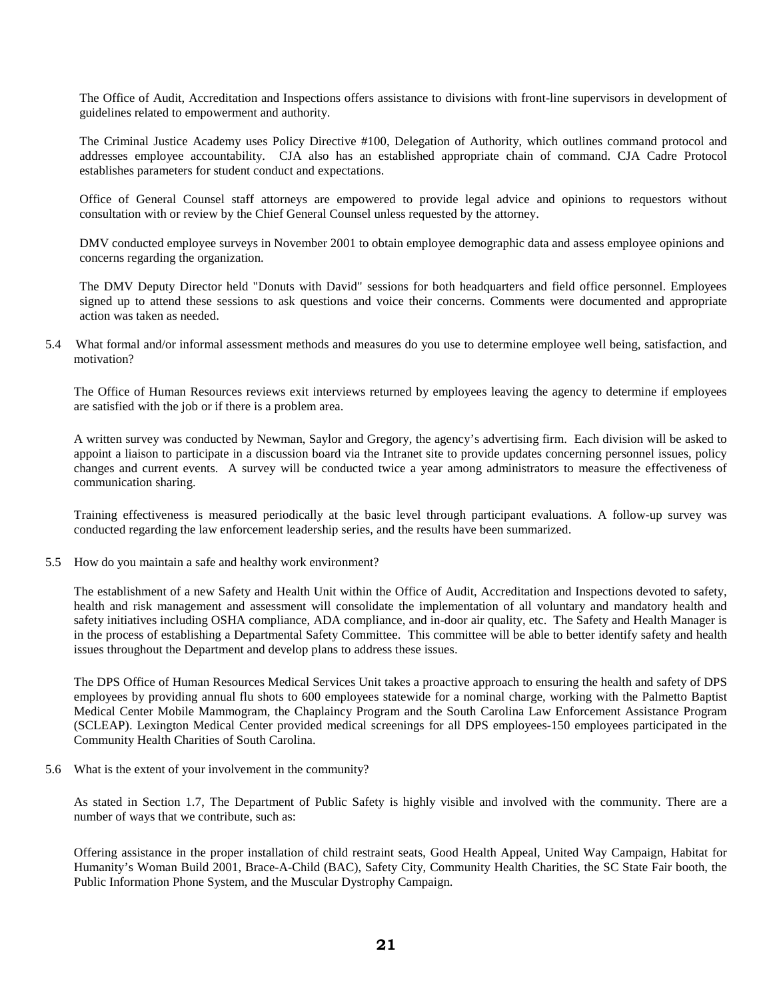The Office of Audit, Accreditation and Inspections offers assistance to divisions with front-line supervisors in development of guidelines related to empowerment and authority.

The Criminal Justice Academy uses Policy Directive #100, Delegation of Authority, which outlines command protocol and addresses employee accountability. CJA also has an established appropriate chain of command. CJA Cadre Protocol establishes parameters for student conduct and expectations.

Office of General Counsel staff attorneys are empowered to provide legal advice and opinions to requestors without consultation with or review by the Chief General Counsel unless requested by the attorney.

DMV conducted employee surveys in November 2001 to obtain employee demographic data and assess employee opinions and concerns regarding the organization.

The DMV Deputy Director held "Donuts with David" sessions for both headquarters and field office personnel. Employees signed up to attend these sessions to ask questions and voice their concerns. Comments were documented and appropriate action was taken as needed.

5.4 What formal and/or informal assessment methods and measures do you use to determine employee well being, satisfaction, and motivation?

The Office of Human Resources reviews exit interviews returned by employees leaving the agency to determine if employees are satisfied with the job or if there is a problem area.

A written survey was conducted by Newman, Saylor and Gregory, the agency's advertising firm. Each division will be asked to appoint a liaison to participate in a discussion board via the Intranet site to provide updates concerning personnel issues, policy changes and current events. A survey will be conducted twice a year among administrators to measure the effectiveness of communication sharing.

Training effectiveness is measured periodically at the basic level through participant evaluations. A follow-up survey was conducted regarding the law enforcement leadership series, and the results have been summarized.

5.5 How do you maintain a safe and healthy work environment?

The establishment of a new Safety and Health Unit within the Office of Audit, Accreditation and Inspections devoted to safety, health and risk management and assessment will consolidate the implementation of all voluntary and mandatory health and safety initiatives including OSHA compliance, ADA compliance, and in-door air quality, etc. The Safety and Health Manager is in the process of establishing a Departmental Safety Committee. This committee will be able to better identify safety and health issues throughout the Department and develop plans to address these issues.

The DPS Office of Human Resources Medical Services Unit takes a proactive approach to ensuring the health and safety of DPS employees by providing annual flu shots to 600 employees statewide for a nominal charge, working with the Palmetto Baptist Medical Center Mobile Mammogram, the Chaplaincy Program and the South Carolina Law Enforcement Assistance Program (SCLEAP). Lexington Medical Center provided medical screenings for all DPS employees-150 employees participated in the Community Health Charities of South Carolina.

5.6 What is the extent of your involvement in the community?

As stated in Section 1.7, The Department of Public Safety is highly visible and involved with the community. There are a number of ways that we contribute, such as:

Offering assistance in the proper installation of child restraint seats, Good Health Appeal, United Way Campaign, Habitat for Humanity's Woman Build 2001, Brace-A-Child (BAC), Safety City, Community Health Charities, the SC State Fair booth, the Public Information Phone System, and the Muscular Dystrophy Campaign.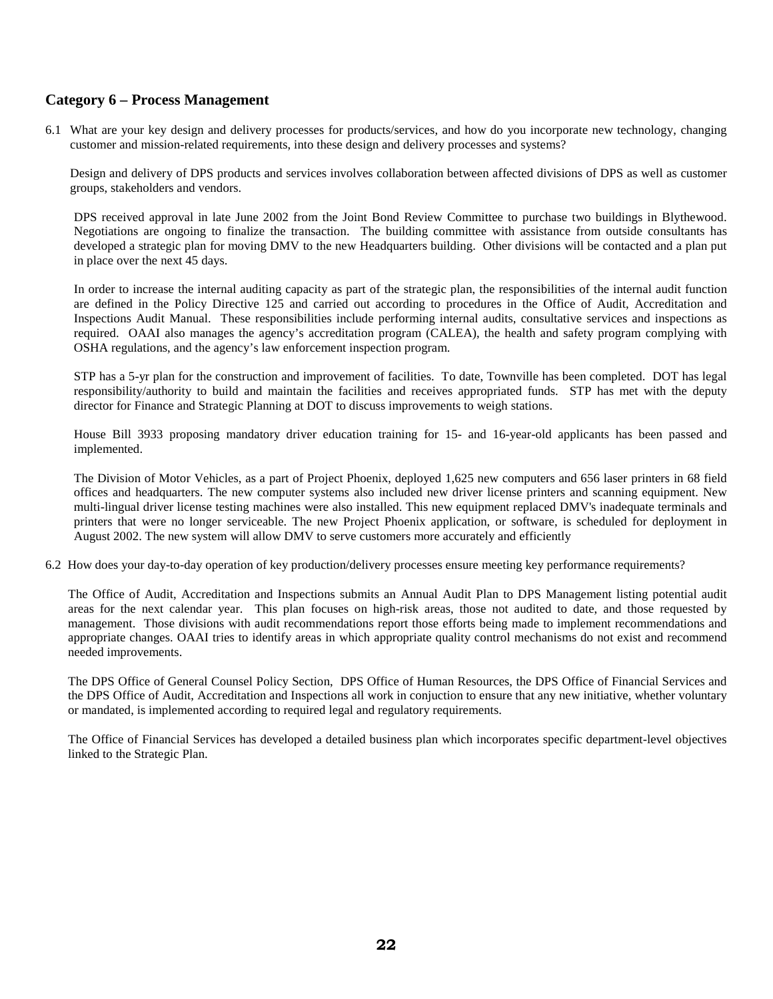## **Category 6 – Process Management**

6.1 What are your key design and delivery processes for products/services, and how do you incorporate new technology, changing customer and mission-related requirements, into these design and delivery processes and systems?

Design and delivery of DPS products and services involves collaboration between affected divisions of DPS as well as customer groups, stakeholders and vendors.

DPS received approval in late June 2002 from the Joint Bond Review Committee to purchase two buildings in Blythewood. Negotiations are ongoing to finalize the transaction. The building committee with assistance from outside consultants has developed a strategic plan for moving DMV to the new Headquarters building. Other divisions will be contacted and a plan put in place over the next 45 days.

In order to increase the internal auditing capacity as part of the strategic plan, the responsibilities of the internal audit function are defined in the Policy Directive 125 and carried out according to procedures in the Office of Audit, Accreditation and Inspections Audit Manual. These responsibilities include performing internal audits, consultative services and inspections as required. OAAI also manages the agency's accreditation program (CALEA), the health and safety program complying with OSHA regulations, and the agency's law enforcement inspection program.

STP has a 5-yr plan for the construction and improvement of facilities. To date, Townville has been completed. DOT has legal responsibility/authority to build and maintain the facilities and receives appropriated funds. STP has met with the deputy director for Finance and Strategic Planning at DOT to discuss improvements to weigh stations.

House Bill 3933 proposing mandatory driver education training for 15- and 16-year-old applicants has been passed and implemented.

The Division of Motor Vehicles, as a part of Project Phoenix, deployed 1,625 new computers and 656 laser printers in 68 field offices and headquarters. The new computer systems also included new driver license printers and scanning equipment. New multi-lingual driver license testing machines were also installed. This new equipment replaced DMV's inadequate terminals and printers that were no longer serviceable. The new Project Phoenix application, or software, is scheduled for deployment in August 2002. The new system will allow DMV to serve customers more accurately and efficiently

6.2 How does your day-to-day operation of key production/delivery processes ensure meeting key performance requirements?

The Office of Audit, Accreditation and Inspections submits an Annual Audit Plan to DPS Management listing potential audit areas for the next calendar year. This plan focuses on high-risk areas, those not audited to date, and those requested by management. Those divisions with audit recommendations report those efforts being made to implement recommendations and appropriate changes. OAAI tries to identify areas in which appropriate quality control mechanisms do not exist and recommend needed improvements.

The DPS Office of General Counsel Policy Section, DPS Office of Human Resources, the DPS Office of Financial Services and the DPS Office of Audit, Accreditation and Inspections all work in conjuction to ensure that any new initiative, whether voluntary or mandated, is implemented according to required legal and regulatory requirements.

The Office of Financial Services has developed a detailed business plan which incorporates specific department-level objectives linked to the Strategic Plan.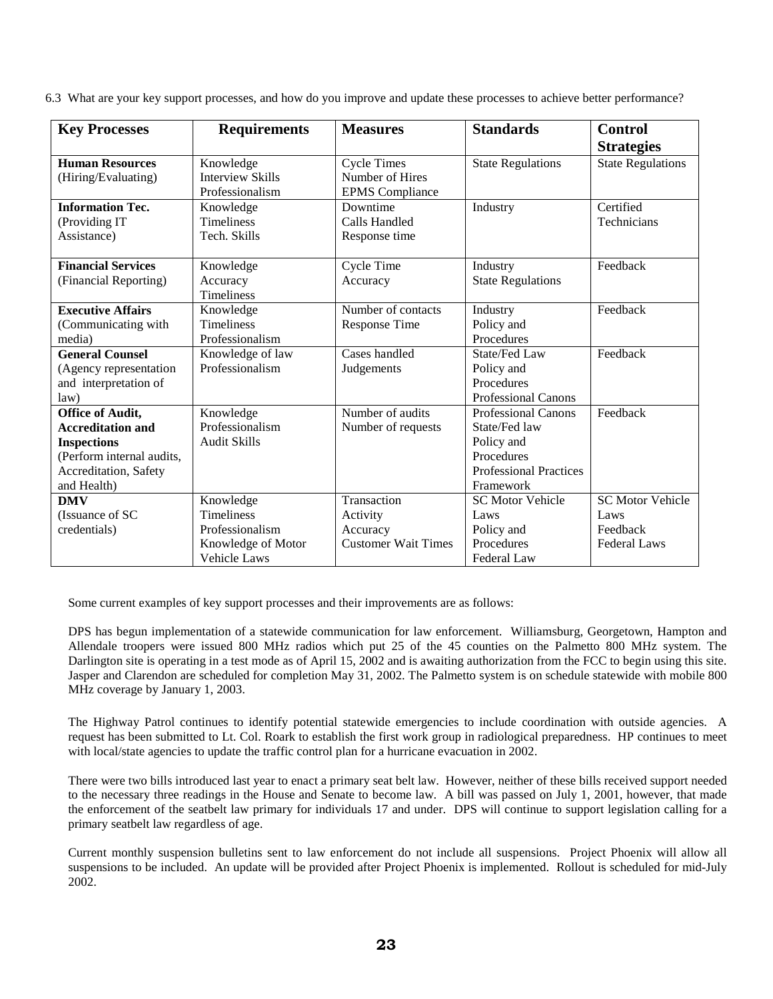6.3 What are your key support processes, and how do you improve and update these processes to achieve better performance?

| <b>Key Processes</b>      | <b>Requirements</b>     | <b>Measures</b>            | <b>Standards</b>              | <b>Control</b>           |
|---------------------------|-------------------------|----------------------------|-------------------------------|--------------------------|
|                           |                         |                            |                               | <b>Strategies</b>        |
| <b>Human Resources</b>    | Knowledge               | <b>Cycle Times</b>         | <b>State Regulations</b>      | <b>State Regulations</b> |
| (Hiring/Evaluating)       | <b>Interview Skills</b> | Number of Hires            |                               |                          |
|                           | Professionalism         | <b>EPMS</b> Compliance     |                               |                          |
| <b>Information Tec.</b>   | Knowledge               | Downtime                   | Industry                      | Certified                |
| (Providing IT             | <b>Timeliness</b>       | Calls Handled              |                               | Technicians              |
| Assistance)               | Tech. Skills            | Response time              |                               |                          |
| <b>Financial Services</b> | Knowledge               | Cycle Time                 | Industry                      | Feedback                 |
| (Financial Reporting)     | Accuracy                | Accuracy                   | <b>State Regulations</b>      |                          |
|                           | <b>Timeliness</b>       |                            |                               |                          |
| <b>Executive Affairs</b>  | Knowledge               | Number of contacts         | Industry                      | Feedback                 |
| (Communicating with       | <b>Timeliness</b>       | <b>Response Time</b>       | Policy and                    |                          |
| media)                    | Professionalism         |                            | Procedures                    |                          |
| <b>General Counsel</b>    | Knowledge of law        | Cases handled              | State/Fed Law                 | Feedback                 |
| (Agency representation    | Professionalism         | Judgements                 | Policy and                    |                          |
| and interpretation of     |                         |                            | Procedures                    |                          |
| law)                      |                         |                            | <b>Professional Canons</b>    |                          |
| <b>Office of Audit,</b>   | Knowledge               | Number of audits           | <b>Professional Canons</b>    | Feedback                 |
| <b>Accreditation and</b>  | Professionalism         | Number of requests         | State/Fed law                 |                          |
| <b>Inspections</b>        | <b>Audit Skills</b>     |                            | Policy and                    |                          |
| (Perform internal audits, |                         |                            | Procedures                    |                          |
| Accreditation, Safety     |                         |                            | <b>Professional Practices</b> |                          |
| and Health)               |                         |                            | Framework                     |                          |
| <b>DMV</b>                | Knowledge               | Transaction                | <b>SC Motor Vehicle</b>       | <b>SC Motor Vehicle</b>  |
| (Issuance of SC           | <b>Timeliness</b>       | Activity                   | Laws                          | Laws                     |
| credentials)              | Professionalism         | Accuracy                   | Policy and                    | Feedback                 |
|                           | Knowledge of Motor      | <b>Customer Wait Times</b> | Procedures                    | <b>Federal Laws</b>      |
|                           | <b>Vehicle Laws</b>     |                            | Federal Law                   |                          |

Some current examples of key support processes and their improvements are as follows:

DPS has begun implementation of a statewide communication for law enforcement. Williamsburg, Georgetown, Hampton and Allendale troopers were issued 800 MHz radios which put 25 of the 45 counties on the Palmetto 800 MHz system. The Darlington site is operating in a test mode as of April 15, 2002 and is awaiting authorization from the FCC to begin using this site. Jasper and Clarendon are scheduled for completion May 31, 2002. The Palmetto system is on schedule statewide with mobile 800 MHz coverage by January 1, 2003.

The Highway Patrol continues to identify potential statewide emergencies to include coordination with outside agencies. A request has been submitted to Lt. Col. Roark to establish the first work group in radiological preparedness. HP continues to meet with local/state agencies to update the traffic control plan for a hurricane evacuation in 2002.

There were two bills introduced last year to enact a primary seat belt law. However, neither of these bills received support needed to the necessary three readings in the House and Senate to become law. A bill was passed on July 1, 2001, however, that made the enforcement of the seatbelt law primary for individuals 17 and under. DPS will continue to support legislation calling for a primary seatbelt law regardless of age.

Current monthly suspension bulletins sent to law enforcement do not include all suspensions. Project Phoenix will allow all suspensions to be included. An update will be provided after Project Phoenix is implemented. Rollout is scheduled for mid-July 2002.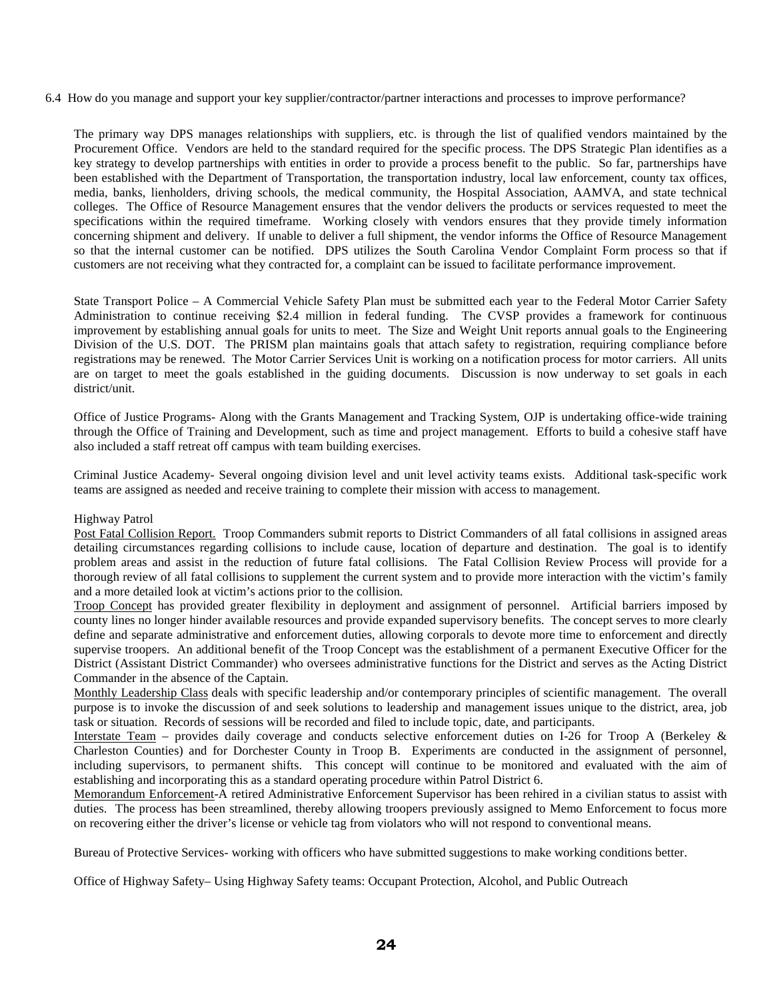6.4 How do you manage and support your key supplier/contractor/partner interactions and processes to improve performance?

The primary way DPS manages relationships with suppliers, etc. is through the list of qualified vendors maintained by the Procurement Office. Vendors are held to the standard required for the specific process. The DPS Strategic Plan identifies as a key strategy to develop partnerships with entities in order to provide a process benefit to the public. So far, partnerships have been established with the Department of Transportation, the transportation industry, local law enforcement, county tax offices, media, banks, lienholders, driving schools, the medical community, the Hospital Association, AAMVA, and state technical colleges. The Office of Resource Management ensures that the vendor delivers the products or services requested to meet the specifications within the required timeframe. Working closely with vendors ensures that they provide timely information concerning shipment and delivery. If unable to deliver a full shipment, the vendor informs the Office of Resource Management so that the internal customer can be notified. DPS utilizes the South Carolina Vendor Complaint Form process so that if customers are not receiving what they contracted for, a complaint can be issued to facilitate performance improvement.

State Transport Police – A Commercial Vehicle Safety Plan must be submitted each year to the Federal Motor Carrier Safety Administration to continue receiving \$2.4 million in federal funding. The CVSP provides a framework for continuous improvement by establishing annual goals for units to meet. The Size and Weight Unit reports annual goals to the Engineering Division of the U.S. DOT. The PRISM plan maintains goals that attach safety to registration, requiring compliance before registrations may be renewed. The Motor Carrier Services Unit is working on a notification process for motor carriers. All units are on target to meet the goals established in the guiding documents. Discussion is now underway to set goals in each district/unit.

Office of Justice Programs- Along with the Grants Management and Tracking System, OJP is undertaking office-wide training through the Office of Training and Development, such as time and project management. Efforts to build a cohesive staff have also included a staff retreat off campus with team building exercises.

Criminal Justice Academy- Several ongoing division level and unit level activity teams exists. Additional task-specific work teams are assigned as needed and receive training to complete their mission with access to management.

#### Highway Patrol

Post Fatal Collision Report. Troop Commanders submit reports to District Commanders of all fatal collisions in assigned areas detailing circumstances regarding collisions to include cause, location of departure and destination. The goal is to identify problem areas and assist in the reduction of future fatal collisions. The Fatal Collision Review Process will provide for a thorough review of all fatal collisions to supplement the current system and to provide more interaction with the victim's family and a more detailed look at victim's actions prior to the collision.

Troop Concept has provided greater flexibility in deployment and assignment of personnel. Artificial barriers imposed by county lines no longer hinder available resources and provide expanded supervisory benefits. The concept serves to more clearly define and separate administrative and enforcement duties, allowing corporals to devote more time to enforcement and directly supervise troopers. An additional benefit of the Troop Concept was the establishment of a permanent Executive Officer for the District (Assistant District Commander) who oversees administrative functions for the District and serves as the Acting District Commander in the absence of the Captain.

Monthly Leadership Class deals with specific leadership and/or contemporary principles of scientific management. The overall purpose is to invoke the discussion of and seek solutions to leadership and management issues unique to the district, area, job task or situation. Records of sessions will be recorded and filed to include topic, date, and participants.

Interstate Team – provides daily coverage and conducts selective enforcement duties on I-26 for Troop A (Berkeley & Charleston Counties) and for Dorchester County in Troop B. Experiments are conducted in the assignment of personnel, including supervisors, to permanent shifts. This concept will continue to be monitored and evaluated with the aim of establishing and incorporating this as a standard operating procedure within Patrol District 6.

Memorandum Enforcement-A retired Administrative Enforcement Supervisor has been rehired in a civilian status to assist with duties. The process has been streamlined, thereby allowing troopers previously assigned to Memo Enforcement to focus more on recovering either the driver's license or vehicle tag from violators who will not respond to conventional means.

Bureau of Protective Services- working with officers who have submitted suggestions to make working conditions better.

Office of Highway Safety– Using Highway Safety teams: Occupant Protection, Alcohol, and Public Outreach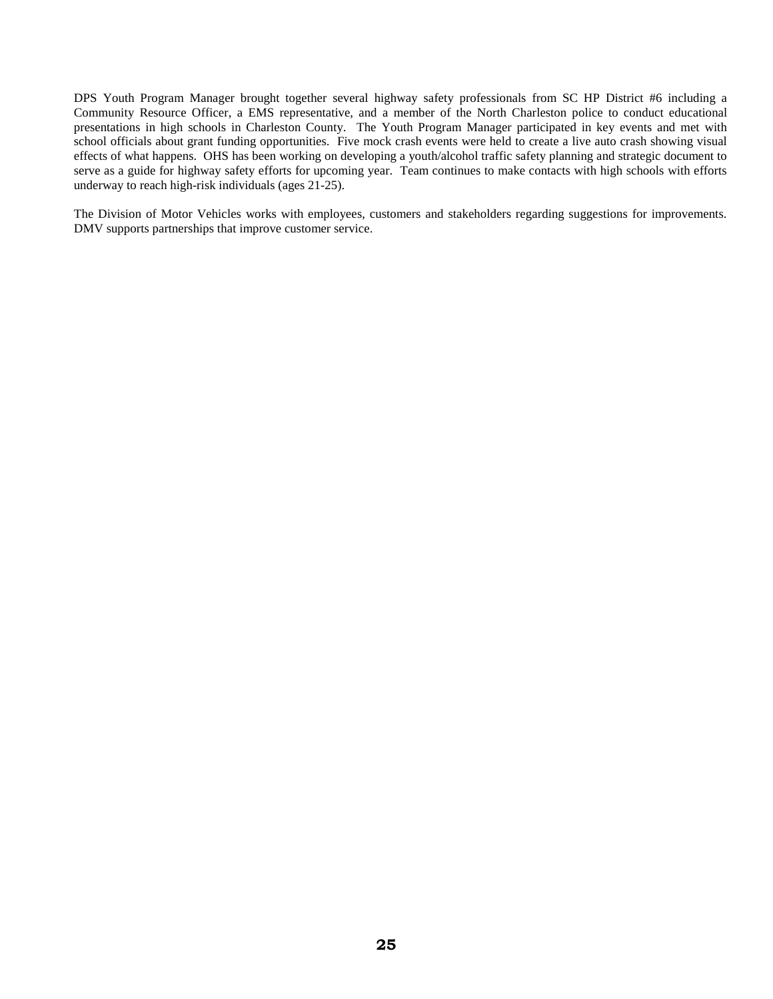DPS Youth Program Manager brought together several highway safety professionals from SC HP District #6 including a Community Resource Officer, a EMS representative, and a member of the North Charleston police to conduct educational presentations in high schools in Charleston County. The Youth Program Manager participated in key events and met with school officials about grant funding opportunities. Five mock crash events were held to create a live auto crash showing visual effects of what happens. OHS has been working on developing a youth/alcohol traffic safety planning and strategic document to serve as a guide for highway safety efforts for upcoming year. Team continues to make contacts with high schools with efforts underway to reach high-risk individuals (ages 21-25).

The Division of Motor Vehicles works with employees, customers and stakeholders regarding suggestions for improvements. DMV supports partnerships that improve customer service.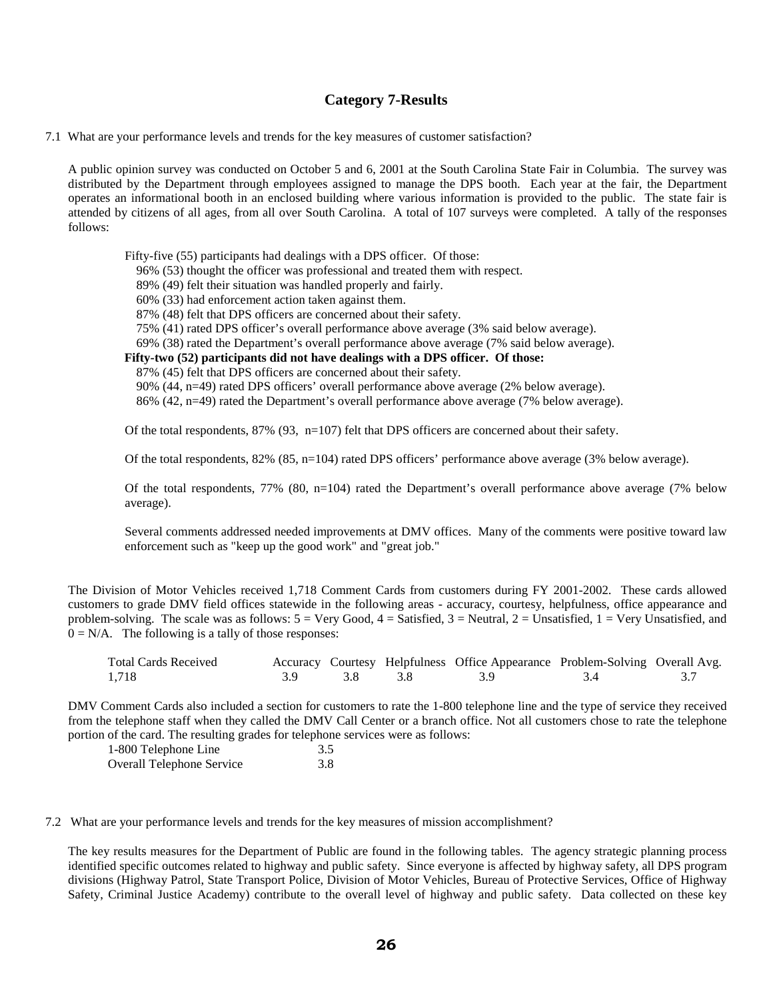# **Category 7-Results**

7.1 What are your performance levels and trends for the key measures of customer satisfaction?

A public opinion survey was conducted on October 5 and 6, 2001 at the South Carolina State Fair in Columbia. The survey was distributed by the Department through employees assigned to manage the DPS booth. Each year at the fair, the Department operates an informational booth in an enclosed building where various information is provided to the public. The state fair is attended by citizens of all ages, from all over South Carolina. A total of 107 surveys were completed. A tally of the responses follows:

Fifty-five (55) participants had dealings with a DPS officer. Of those:

96% (53) thought the officer was professional and treated them with respect.

89% (49) felt their situation was handled properly and fairly.

60% (33) had enforcement action taken against them.

87% (48) felt that DPS officers are concerned about their safety.

75% (41) rated DPS officer's overall performance above average (3% said below average).

69% (38) rated the Department's overall performance above average (7% said below average).

 **Fifty-two (52) participants did not have dealings with a DPS officer. Of those:**

87% (45) felt that DPS officers are concerned about their safety.

90% (44, n=49) rated DPS officers' overall performance above average (2% below average).

86% (42, n=49) rated the Department's overall performance above average (7% below average).

Of the total respondents, 87% (93, n=107) felt that DPS officers are concerned about their safety.

Of the total respondents, 82% (85, n=104) rated DPS officers' performance above average (3% below average).

Of the total respondents, 77% (80, n=104) rated the Department's overall performance above average (7% below average).

Several comments addressed needed improvements at DMV offices. Many of the comments were positive toward law enforcement such as "keep up the good work" and "great job."

The Division of Motor Vehicles received 1,718 Comment Cards from customers during FY 2001-2002. These cards allowed customers to grade DMV field offices statewide in the following areas - accuracy, courtesy, helpfulness, office appearance and problem-solving. The scale was as follows:  $5 = \text{Very Good}, 4 = \text{Satisfied}, 3 = \text{Neural}, 2 = \text{Unsatisfied}, 1 = \text{Very Unsatisfied},$  and  $0 = N/A$ . The following is a tally of those responses:

| <b>Total Cards Received</b> |  | Accuracy Courtesy Helpfulness Office Appearance Problem-Solving Overall Avg. |  |
|-----------------------------|--|------------------------------------------------------------------------------|--|
| 1,718                       |  |                                                                              |  |

DMV Comment Cards also included a section for customers to rate the 1-800 telephone line and the type of service they received from the telephone staff when they called the DMV Call Center or a branch office. Not all customers chose to rate the telephone portion of the card. The resulting grades for telephone services were as follows:

| 1-800 Telephone Line      | 3.5 |
|---------------------------|-----|
| Overall Telephone Service | 3.8 |

7.2 What are your performance levels and trends for the key measures of mission accomplishment?

The key results measures for the Department of Public are found in the following tables. The agency strategic planning process identified specific outcomes related to highway and public safety. Since everyone is affected by highway safety, all DPS program divisions (Highway Patrol, State Transport Police, Division of Motor Vehicles, Bureau of Protective Services, Office of Highway Safety, Criminal Justice Academy) contribute to the overall level of highway and public safety. Data collected on these key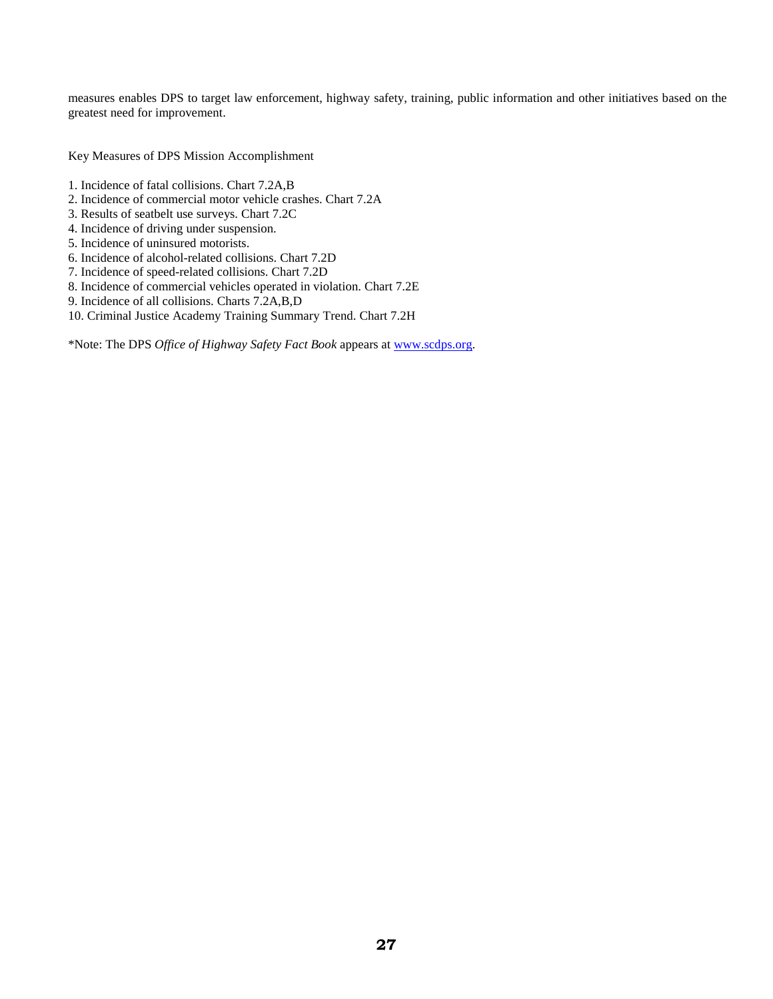measures enables DPS to target law enforcement, highway safety, training, public information and other initiatives based on the greatest need for improvement.

Key Measures of DPS Mission Accomplishment

- 1. Incidence of fatal collisions. Chart 7.2A,B
- 2. Incidence of commercial motor vehicle crashes. Chart 7.2A
- 3. Results of seatbelt use surveys. Chart 7.2C
- 4. Incidence of driving under suspension.
- 5. Incidence of uninsured motorists.
- 6. Incidence of alcohol-related collisions. Chart 7.2D
- 7. Incidence of speed-related collisions. Chart 7.2D
- 8. Incidence of commercial vehicles operated in violation. Chart 7.2E
- 9. Incidence of all collisions. Charts 7.2A,B,D
- 10. Criminal Justice Academy Training Summary Trend. Chart 7.2H

\*Note: The DPS *Office of Highway Safety Fact Book* appears at [www.scdps.org.](http://www.scdps.org/)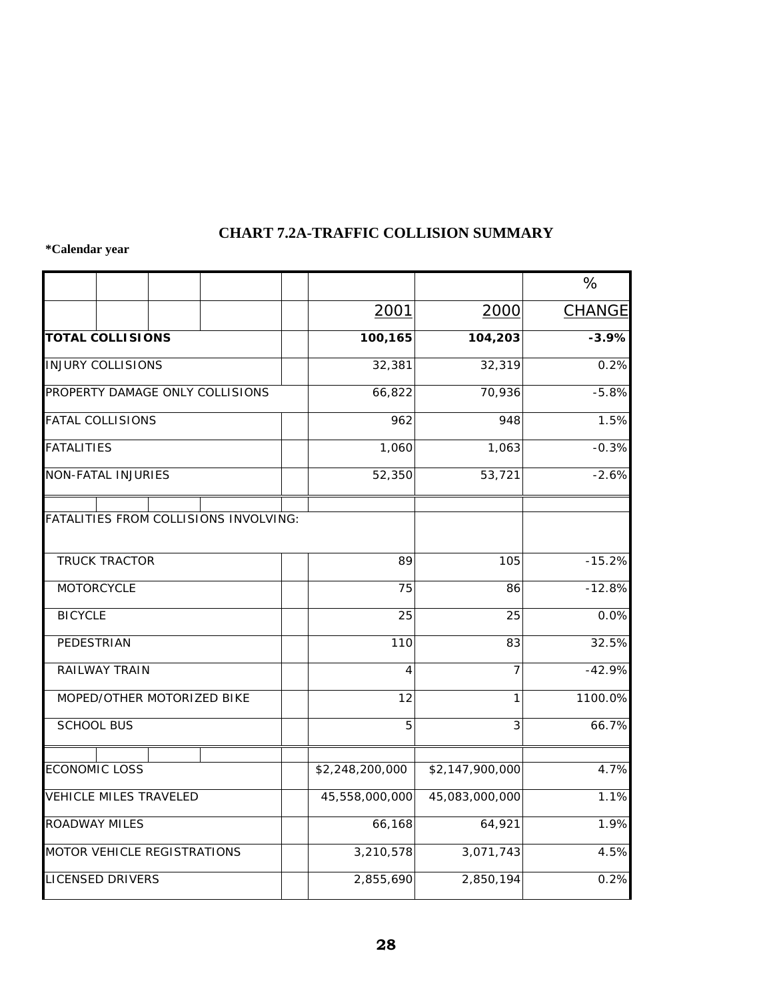# **CHART 7.2A-TRAFFIC COLLISION SUMMARY**

|                                       |                 |                 | %                  |
|---------------------------------------|-----------------|-----------------|--------------------|
|                                       | 2001            | 2000            | <b>CHANGE</b>      |
| <b>TOTAL COLLISIONS</b>               | 100,165         | 104,203         | $-3.9%$            |
| <b>INJURY COLLISIONS</b>              | 32,381          | 32,319          | 0.2%               |
| PROPERTY DAMAGE ONLY COLLISIONS       | 66,822          | 70,936          | $-5.8%$            |
| <b>FATAL COLLISIONS</b>               | 962             | 948             | 1.5%               |
| <b>FATALITIES</b>                     | 1,060           | 1,063           | $-0.3%$            |
| <b>NON-FATAL INJURIES</b>             | 52,350          | 53,721          | $-2.6%$            |
| FATALITIES FROM COLLISIONS INVOLVING: |                 |                 |                    |
| <b>TRUCK TRACTOR</b>                  | 89              | 105             | $-15.2%$           |
| <b>MOTORCYCLE</b>                     | 75              | 86              | $-12.8%$           |
| <b>BICYCLE</b>                        | 25              | 25              | 0.0%               |
| PEDESTRIAN                            | 110             | 83              | 32.5%              |
| <b>RAILWAY TRAIN</b>                  | $\overline{4}$  | 7               | $-42.9%$           |
| MOPED/OTHER MOTORIZED BIKE            | 12              | 1               | 1100.0%            |
| <b>SCHOOL BUS</b>                     | 5               | 3               | 66.7%              |
|                                       |                 |                 |                    |
| <b>ECONOMIC LOSS</b>                  | \$2,248,200,000 | \$2,147,900,000 | $\overline{4.7\%}$ |
| <b>VEHICLE MILES TRAVELED</b>         | 45,558,000,000  | 45,083,000,000  | 1.1%               |
| <b>ROADWAY MILES</b>                  | 66,168          | 64,921          | 1.9%               |
| MOTOR VEHICLE REGISTRATIONS           | 3,210,578       | 3,071,743       | 4.5%               |
| <b>LICENSED DRIVERS</b>               | 2,855,690       | 2,850,194       | 0.2%               |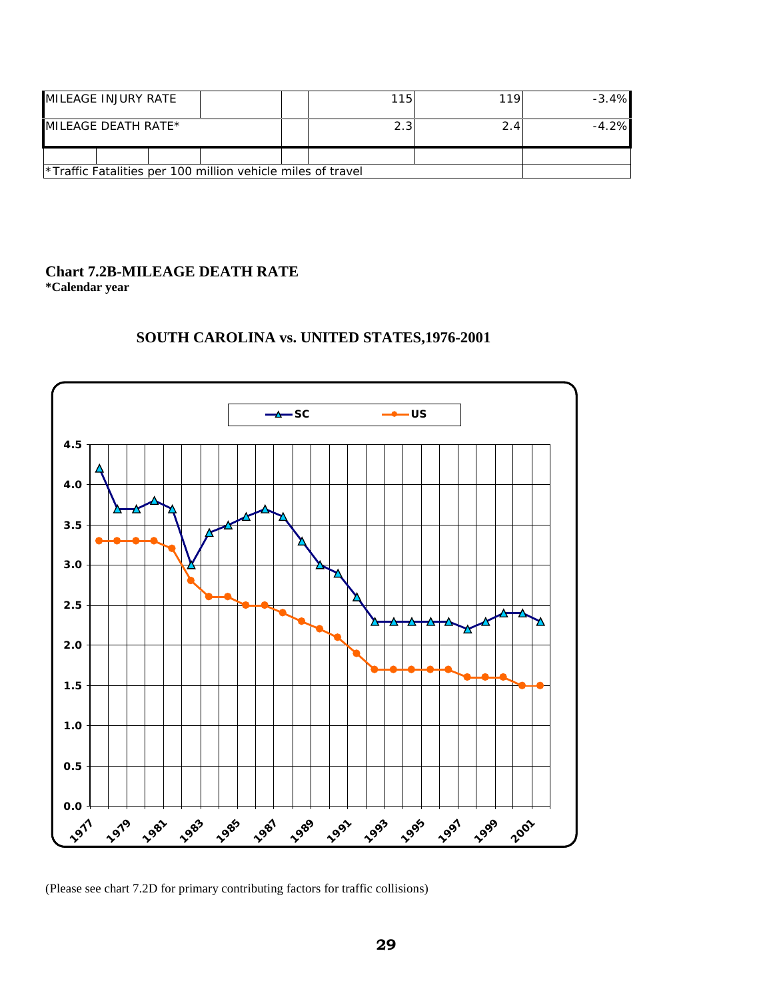| MILEAGE INJURY RATE                                                     | 115 | 110 | $-3.4%$ |
|-------------------------------------------------------------------------|-----|-----|---------|
| $MILEAGE DEATH RATE*$                                                   | 2.3 |     | $-4.2%$ |
|                                                                         |     |     |         |
| <sup>*</sup> Traffic Fatalities per 100 million vehicle miles of travel |     |     |         |

## **Chart 7.2B-MILEAGE DEATH RATE \*Calendar year**



# **SOUTH CAROLINA vs. UNITED STATES,1976-2001**

(Please see chart 7.2D for primary contributing factors for traffic collisions)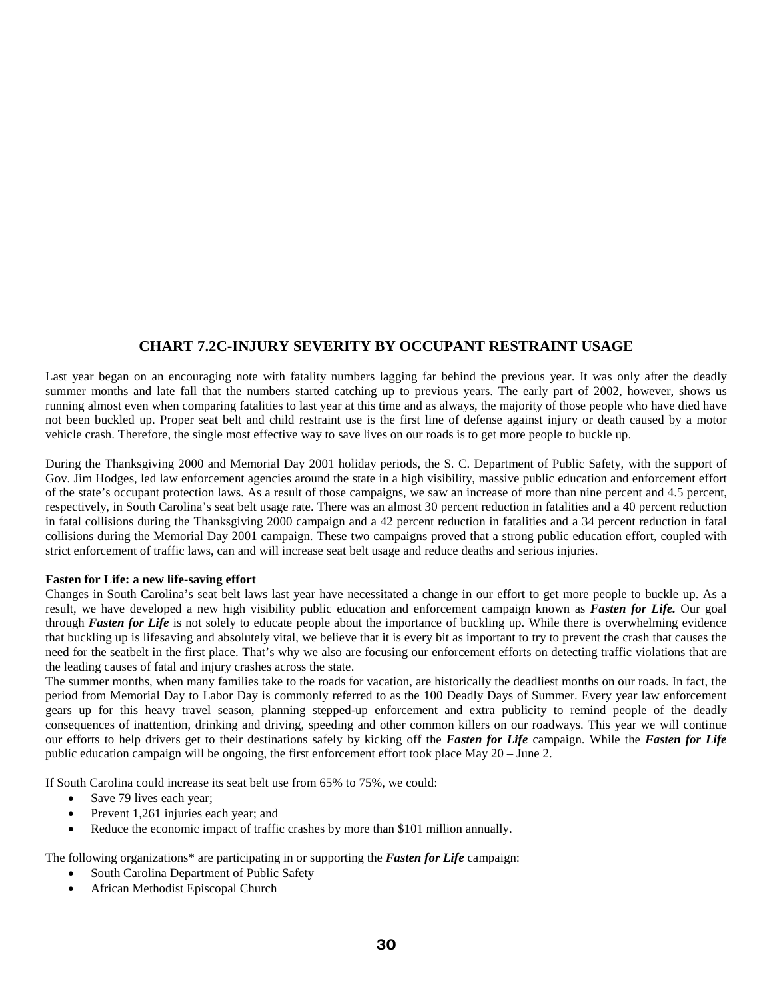# **CHART 7.2C-INJURY SEVERITY BY OCCUPANT RESTRAINT USAGE**

Last year began on an encouraging note with fatality numbers lagging far behind the previous year. It was only after the deadly summer months and late fall that the numbers started catching up to previous years. The early part of 2002, however, shows us running almost even when comparing fatalities to last year at this time and as always, the majority of those people who have died have not been buckled up. Proper seat belt and child restraint use is the first line of defense against injury or death caused by a motor vehicle crash. Therefore, the single most effective way to save lives on our roads is to get more people to buckle up.

During the Thanksgiving 2000 and Memorial Day 2001 holiday periods, the S. C. Department of Public Safety, with the support of Gov. Jim Hodges, led law enforcement agencies around the state in a high visibility, massive public education and enforcement effort of the state's occupant protection laws. As a result of those campaigns, we saw an increase of more than nine percent and 4.5 percent, respectively, in South Carolina's seat belt usage rate. There was an almost 30 percent reduction in fatalities and a 40 percent reduction in fatal collisions during the Thanksgiving 2000 campaign and a 42 percent reduction in fatalities and a 34 percent reduction in fatal collisions during the Memorial Day 2001 campaign. These two campaigns proved that a strong public education effort, coupled with strict enforcement of traffic laws, can and will increase seat belt usage and reduce deaths and serious injuries.

#### **Fasten for Life: a new life-saving effort**

Changes in South Carolina's seat belt laws last year have necessitated a change in our effort to get more people to buckle up. As a result, we have developed a new high visibility public education and enforcement campaign known as *Fasten for Life.* Our goal through *Fasten for Life* is not solely to educate people about the importance of buckling up. While there is overwhelming evidence that buckling up is lifesaving and absolutely vital, we believe that it is every bit as important to try to prevent the crash that causes the need for the seatbelt in the first place. That's why we also are focusing our enforcement efforts on detecting traffic violations that are the leading causes of fatal and injury crashes across the state.

The summer months, when many families take to the roads for vacation, are historically the deadliest months on our roads. In fact, the period from Memorial Day to Labor Day is commonly referred to as the 100 Deadly Days of Summer. Every year law enforcement gears up for this heavy travel season, planning stepped-up enforcement and extra publicity to remind people of the deadly consequences of inattention, drinking and driving, speeding and other common killers on our roadways. This year we will continue our efforts to help drivers get to their destinations safely by kicking off the *Fasten for Life* campaign. While the *Fasten for Life* public education campaign will be ongoing, the first enforcement effort took place May 20 – June 2.

If South Carolina could increase its seat belt use from 65% to 75%, we could:

- Save 79 lives each year;
- Prevent 1,261 injuries each year; and
- Reduce the economic impact of traffic crashes by more than \$101 million annually.

The following organizations\* are participating in or supporting the *Fasten for Life* campaign:

- South Carolina Department of Public Safety
- African Methodist Episcopal Church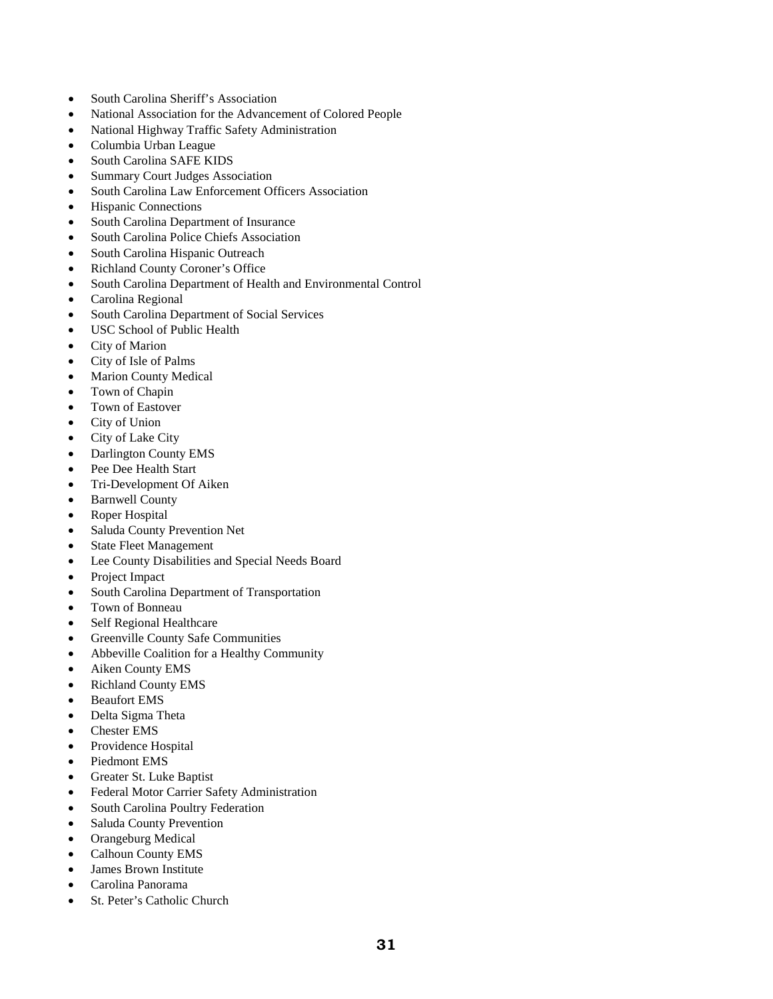- South Carolina Sheriff's Association
- National Association for the Advancement of Colored People
- National Highway Traffic Safety Administration
- Columbia Urban League
- South Carolina SAFE KIDS
- Summary Court Judges Association
- South Carolina Law Enforcement Officers Association
- Hispanic Connections
- South Carolina Department of Insurance
- South Carolina Police Chiefs Association
- South Carolina Hispanic Outreach
- Richland County Coroner's Office
- South Carolina Department of Health and Environmental Control
- Carolina Regional
- South Carolina Department of Social Services
- USC School of Public Health
- City of Marion
- City of Isle of Palms
- **Marion County Medical**
- Town of Chapin
- Town of Eastover
- City of Union
- City of Lake City
- Darlington County EMS
- Pee Dee Health Start
- Tri-Development Of Aiken
- Barnwell County
- Roper Hospital
- Saluda County Prevention Net
- **State Fleet Management**
- Lee County Disabilities and Special Needs Board
- Project Impact
- South Carolina Department of Transportation
- Town of Bonneau
- Self Regional Healthcare
- Greenville County Safe Communities
- Abbeville Coalition for a Healthy Community
- Aiken County EMS
- Richland County EMS
- Beaufort EMS
- Delta Sigma Theta
- Chester EMS
- Providence Hospital
- Piedmont EMS
- Greater St. Luke Baptist
- Federal Motor Carrier Safety Administration
- South Carolina Poultry Federation
- Saluda County Prevention
- Orangeburg Medical
- Calhoun County EMS
- James Brown Institute
- Carolina Panorama
- St. Peter's Catholic Church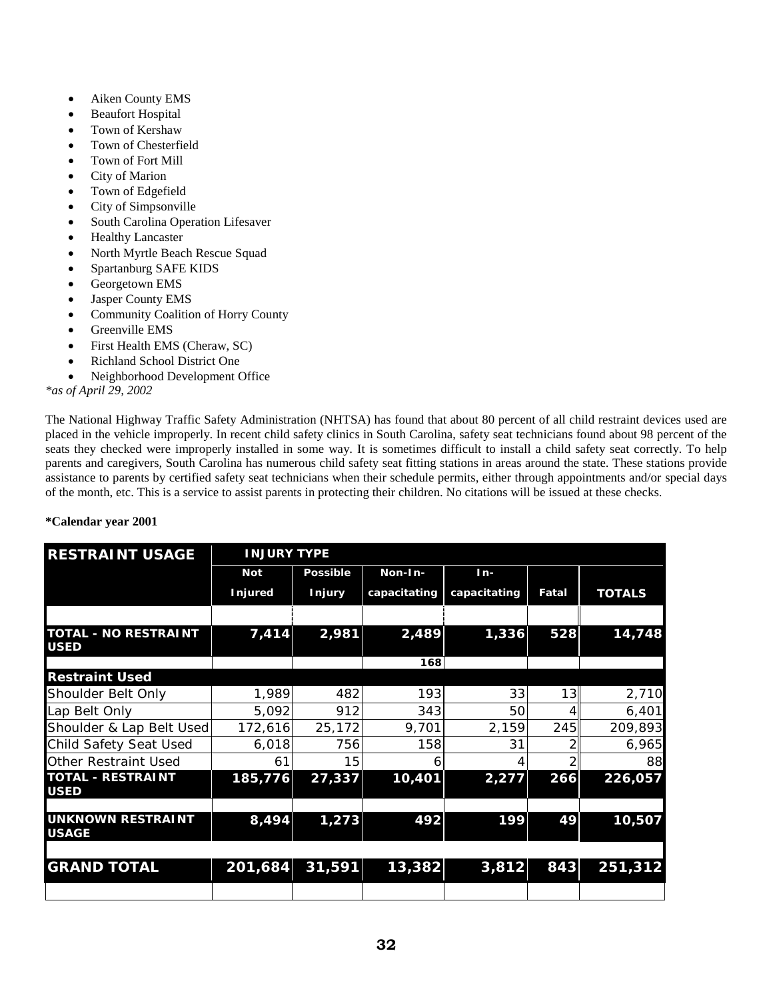- Aiken County EMS
- **Beaufort Hospital**
- Town of Kershaw
- Town of Chesterfield
- Town of Fort Mill
- City of Marion
- Town of Edgefield
- City of Simpsonville
- South Carolina Operation Lifesaver
- Healthy Lancaster
- North Myrtle Beach Rescue Squad
- Spartanburg SAFE KIDS
- Georgetown EMS
- Jasper County EMS
- Community Coalition of Horry County
- Greenville EMS
- First Health EMS (Cheraw, SC)
- Richland School District One
- Neighborhood Development Office

*\*as of April 29, 2002*

The National Highway Traffic Safety Administration (NHTSA) has found that about 80 percent of all child restraint devices used are placed in the vehicle improperly. In recent child safety clinics in South Carolina, safety seat technicians found about 98 percent of the seats they checked were improperly installed in some way. It is sometimes difficult to install a child safety seat correctly. To help parents and caregivers, South Carolina has numerous child safety seat fitting stations in areas around the state. These stations provide assistance to parents by certified safety seat technicians when their schedule permits, either through appointments and/or special days of the month, etc. This is a service to assist parents in protecting their children. No citations will be issued at these checks.

| <b>Not</b>               | <b>Possible</b> | Non-In-                                                             | $In-$        |            |                  |
|--------------------------|-----------------|---------------------------------------------------------------------|--------------|------------|------------------|
| <b>Injured</b>           | <b>Injury</b>   | capacitating                                                        | capacitating | Fatal      | <b>TOTALS</b>    |
|                          |                 |                                                                     |              |            |                  |
| 7,414                    | 2,981           | 2,489                                                               | 1,336        | 528        | 14,748           |
|                          |                 | 168                                                                 |              |            |                  |
|                          |                 |                                                                     |              |            |                  |
|                          | 482             |                                                                     | 33           |            | 2,710            |
|                          | 912             | 343                                                                 | 50           |            | 6,401            |
| Shoulder & Lap Belt Used | 25,172          | 9,701                                                               | 2,159        |            | 209,893          |
|                          | 756             |                                                                     | 31           |            | 6,965            |
| 61                       | 15              | b                                                                   |              |            | 88               |
| 185,776                  | 27,337          | 10,401                                                              | 2,277        | 266        | 226,057          |
| 8,494                    | 1,273           | 492                                                                 | 199          | 49         | 10,507           |
|                          | 31,591          | 13,382                                                              | 3,812        |            | 251,312          |
|                          |                 | <b>INJURY TYPE</b><br>1,989<br>5,092<br>172,616<br>6,018<br>201,684 |              | 193<br>158 | 13<br>245<br>843 |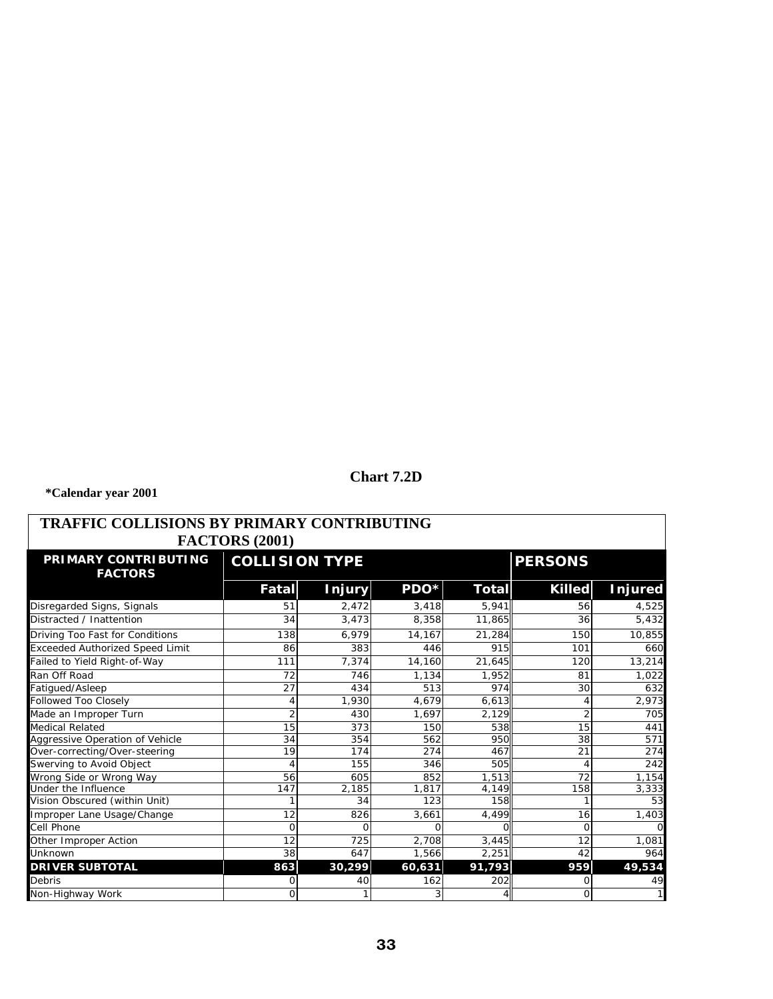# **Chart 7.2D**

| TRAFFIC COLLISIONS BY PRIMARY CONTRIBUTING<br><b>FACTORS (2001)</b> |                       |               |                |                |                |                |  |
|---------------------------------------------------------------------|-----------------------|---------------|----------------|----------------|----------------|----------------|--|
| PRIMARY CONTRIBUTING<br><b>FACTORS</b>                              | <b>COLLISION TYPE</b> |               |                | <b>PERSONS</b> |                |                |  |
|                                                                     | Fatal                 | <b>Injury</b> | PDO*           | Total          | <b>Killed</b>  | <b>Injured</b> |  |
| Disregarded Signs, Signals                                          | 51                    | 2,472         | 3,418          | 5,941          | 56             | 4,525          |  |
| Distracted / Inattention                                            | 34                    | 3,473         | 8,358          | 11,865         | 36             | 5,432          |  |
| Driving Too Fast for Conditions                                     | 138                   | 6,979         | 14,167         | 21,284         | 150            | 10,855         |  |
| <b>Exceeded Authorized Speed Limit</b>                              | 86                    | 383           | 446            | 915            | 101            | 660            |  |
| Failed to Yield Right-of-Way                                        | 111                   | 7.374         | 14.160         | 21.645         | 120            | 13,214         |  |
| Ran Off Road                                                        | 72                    | 746           | 1.134          | 1.952          | 81             | 1,022          |  |
| Fatigued/Asleep                                                     | 27                    | 434           | 513            | 974            | 30             | 632            |  |
| Followed Too Closely                                                | 4                     | 1,930         | 4,679          | 6,613          |                | 2,973          |  |
| Made an Improper Turn                                               | $\overline{2}$        | 430           | 1,697          | 2,129          | $\overline{2}$ | 705            |  |
| Medical Related                                                     | 15                    | 373           | 150            | 538            | 15             | 441            |  |
| Aggressive Operation of Vehicle                                     | 34                    | 354           | 562            | 950            | 38             | 571            |  |
| Over-correcting/Over-steering                                       | 19                    | 174           | 274            | 467            | 21             | 274            |  |
| Swerving to Avoid Object                                            | $\overline{4}$        | 155           | 346            | 505            |                | 242            |  |
| Wrong Side or Wrong Way                                             | 56                    | 605           | 852            | 1,513          | 72             | 1,154          |  |
| Under the Influence                                                 | 147                   | 2,185         | 1.817          | 4,149          | 158            | 3,333          |  |
| Vision Obscured (within Unit)                                       |                       | 34            | 123            | 158            |                | 53             |  |
| Improper Lane Usage/Change                                          | 12                    | 826           | 3,661          | 4,499          | 16             | 1,403          |  |
| Cell Phone                                                          | $\Omega$              | $\Omega$      |                |                | Ω              |                |  |
| Other Improper Action                                               | 12                    | 725           | 2,708          | 3,445          | 12             | 1,081          |  |
| Unknown                                                             | 38                    | 647           | 1,566          | 2,251          | 42             | 964            |  |
| <b>DRIVER SUBTOTAL</b>                                              | 863                   | 30,299        | 60,631         | 91,793         | 959            | 49,534         |  |
| Debris                                                              | 0                     | 40            | 162            | 202            |                | 49             |  |
| Non-Highway Work                                                    | $\Omega$              |               | $\overline{3}$ | 41             | $\Omega$       |                |  |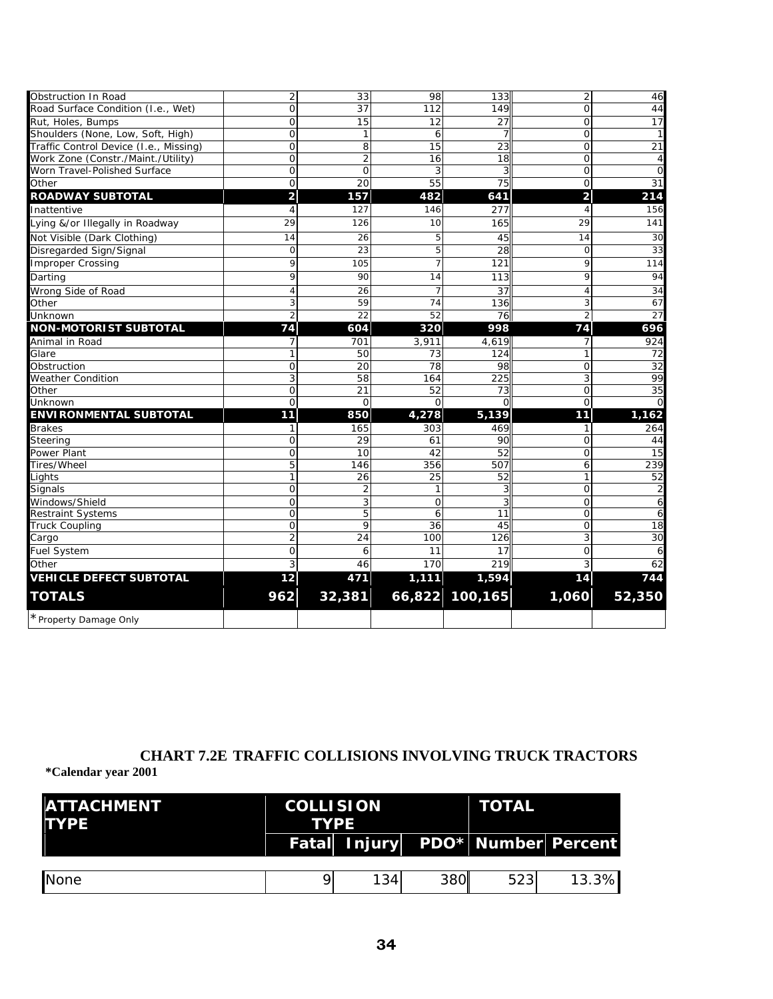| Obstruction In Road                    | $\overline{2}$          | 33             | 98              | 133             | $\overline{2}$          | 46              |
|----------------------------------------|-------------------------|----------------|-----------------|-----------------|-------------------------|-----------------|
| Road Surface Condition (I.e., Wet)     | $\overline{O}$          | 37             | 112             | 149             | $\Omega$                | 44              |
| Rut, Holes, Bumps                      | $\overline{O}$          | 15             | 12              | 27              | $\Omega$                | 17              |
| Shoulders (None, Low, Soft, High)      | 0                       | $\mathbf{1}$   | 6               | 7               | $\mathbf 0$             | $\mathbf{1}$    |
| Traffic Control Device (I.e., Missing) | $\overline{O}$          | 8              | $\overline{15}$ | $\overline{23}$ | $\mathbf 0$             | $\overline{21}$ |
| Work Zone (Constr./Maint./Utility)     | 0                       | $\overline{2}$ | 16              | 18              | $\mathbf{O}$            | 4               |
| Worn Travel-Polished Surface           | $\overline{O}$          | $\mathbf 0$    | 3               | 3               | $\mathbf{O}$            | $\mathbf 0$     |
| Other                                  | 0                       | 20             | $\overline{55}$ | 75              | $\Omega$                | 31              |
| <b>ROADWAY SUBTOTAL</b>                | $\overline{\mathbf{c}}$ | 157            | 482             | 641             | $\overline{\mathbf{c}}$ | 214             |
| Inattentive                            | 4                       | 127            | 146             | 277             | 4                       | 156             |
| Lying &/or Illegally in Roadway        | 29                      | 126            | 10              | 165             | 29                      | 141             |
| Not Visible (Dark Clothing)            | 14                      | 26             | 5               | 45              | 14                      | 30              |
| Disregarded Sign/Signal                | $\overline{O}$          | 23             | 5               | 28              | $\Omega$                | 33              |
| Improper Crossing                      | 9                       | 105            | 7               | 121             | 9                       | 114             |
| Darting                                | 9                       | 90             | 14              | 113             | 9                       | 94              |
| Wrong Side of Road                     | 4                       | 26             | $\overline{7}$  | 37              | 4                       | $\overline{34}$ |
| Other                                  | 3                       | 59             | 74              | 136             | 3                       | 67              |
| Unknown                                | $\overline{2}$          | 22             | 52              | 76              | $\overline{2}$          | 27              |
| <b>NON-MOTORIST SUBTOTAL</b>           | 74                      | 604            | 320             | 998             | 74                      | 696             |
| Animal in Road                         | 7                       | 701            | 3.911           | 4,619           | 7                       | 924             |
| Glare                                  | 1                       | 50             | 73              | 124             | 1                       | 72              |
| Obstruction                            | 0                       | 20             | 78              | 98              | $\mathbf 0$             | 32              |
| Weather Condition                      | 3                       | 58             | 164             | 225             | 3                       | 99              |
| Other                                  | 0                       | 21             | 52              | 73              | $\mathbf{O}$            | 35              |
| Unknown                                | $\Omega$                | $\Omega$       | $\Omega$        | $\Omega$        | $\Omega$                | $\Omega$        |
| <b>ENVIRONMENTAL SUBTOTAL</b>          | 11                      | 850            | 4,278           | 5,139           | 11                      | 1,162           |
| <b>Brakes</b>                          | 1                       | 165            | 303             | 469             | 1                       | 264             |
| Steering                               | $\overline{O}$          | 29             | 61              | 90              | $\mathbf{O}$            | 44              |
| Power Plant                            | $\overline{0}$          | 10             | 42              | 52              | $\overline{O}$          | 15              |
| Tires/Wheel                            | 5                       | 146            | 356             | 507             | 6                       | 239             |
| Lights                                 | 1                       | 26             | 25              | 52              | 1                       | 52              |
| Signals                                | $\overline{O}$          | $\overline{2}$ | 1               | 3               | $\Omega$                | 2               |
| Windows/Shield                         | 0                       | 3              | 0               | 3               | 0                       | 6               |
| <b>Restraint Systems</b>               | $\overline{O}$          | 5              | 6               | 11              | $\mathbf 0$             | 6               |
| <b>Truck Coupling</b>                  | $\overline{O}$          | 9              | 36              | 45              | $\Omega$                | 18              |
| Cargo                                  | $\overline{2}$          | 24             | 100             | 126             | 3                       | 30              |
| Fuel System                            | 0                       | 6              | 11              | 17              | 0                       | 6               |
| Other                                  | 3                       | 46             | 170             | 219             | 3                       | 62              |
| <b>VEHICLE DEFECT SUBTOTAL</b>         | 12                      | 471            | 1,111           | 1,594           | 14                      | 744             |
| <b>TOTALS</b>                          | 962                     | 32,381         |                 | 66,822 100,165  | 1,060                   | 52,350          |
| * Property Damage Only                 |                         |                |                 |                 |                         |                 |

# **CHART 7.2E TRAFFIC COLLISIONS INVOLVING TRUCK TRACTORS**

| <b>IATTACHMENT</b><br><b>ITYPE</b> | <b>COLLISION</b><br><b>TYPE</b> |     | <b>TOTAL</b> |     |                                  |
|------------------------------------|---------------------------------|-----|--------------|-----|----------------------------------|
|                                    |                                 |     |              |     | Fatal Injury PDO* Number Percent |
| <b>None</b>                        |                                 | 134 | <b>380</b>   | 523 | 13.3%                            |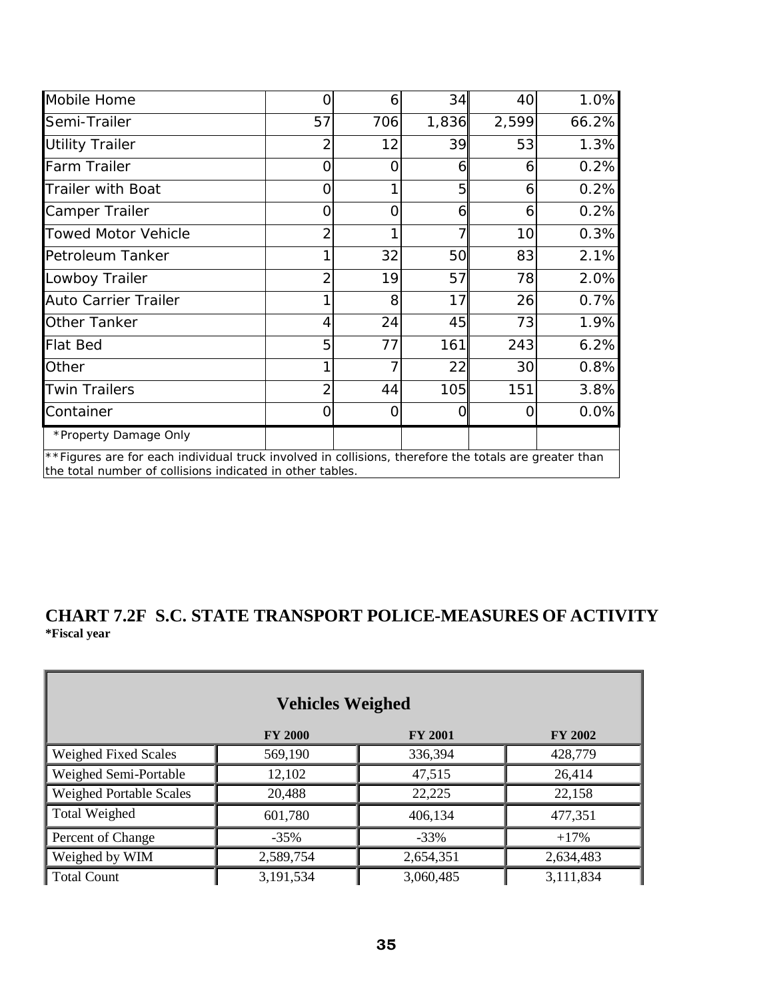| Mobile Home                                                                                                                                                        | Ω              | 6   | 34    | 40    | 1.0%  |
|--------------------------------------------------------------------------------------------------------------------------------------------------------------------|----------------|-----|-------|-------|-------|
| Semi-Trailer                                                                                                                                                       | 57             | 706 | 1,836 | 2,599 | 66.2% |
| <b>Utility Trailer</b>                                                                                                                                             |                | 12  | 39    | 53    | 1.3%  |
| <b>Farm Trailer</b>                                                                                                                                                | Ω              | ი   | 6     | 6     | 0.2%  |
| <b>Trailer with Boat</b>                                                                                                                                           | Ω              |     | 5     | 6     | 0.2%  |
| Camper Trailer                                                                                                                                                     | O              | Ω   | 6     | 6     | 0.2%  |
| <b>Towed Motor Vehicle</b>                                                                                                                                         | $\overline{2}$ |     | 7     | 10    | 0.3%  |
| Petroleum Tanker                                                                                                                                                   |                | 32  | 50    | 83    | 2.1%  |
| Lowboy Trailer                                                                                                                                                     | 2              | 19  | 57    | 78    | 2.0%  |
| Auto Carrier Trailer                                                                                                                                               |                | 8   | 17    | 26    | 0.7%  |
| Other Tanker                                                                                                                                                       | 4              | 24  | 45    | 73    | 1.9%  |
| <b>Flat Bed</b>                                                                                                                                                    | 5              | 77  | 161   | 243   | 6.2%  |
| Other                                                                                                                                                              |                |     | 22    | 30    | 0.8%  |
| <b>Twin Trailers</b>                                                                                                                                               |                | 44  | 105   | 151   | 3.8%  |
| Container                                                                                                                                                          | Ω              | Ω   | 0     |       | 0.0%  |
| *Property Damage Only                                                                                                                                              |                |     |       |       |       |
| **Figures are for each individual truck involved in collisions, therefore the totals are greater than<br>the total number of collisions indicated in other tables. |                |     |       |       |       |

# **CHART 7.2F S.C. STATE TRANSPORT POLICE-MEASURES OF ACTIVITY \*Fiscal year**

| <b>Vehicles Weighed</b>        |                |                |                |  |  |
|--------------------------------|----------------|----------------|----------------|--|--|
|                                | <b>FY 2000</b> | <b>FY 2001</b> | <b>FY 2002</b> |  |  |
| Weighed Fixed Scales           | 569,190        | 336,394        | 428,779        |  |  |
| Weighed Semi-Portable          | 12,102         | 47,515         | 26,414         |  |  |
| <b>Weighed Portable Scales</b> | 20,488         | 22,225         | 22,158         |  |  |
| <b>Total Weighed</b>           | 601,780        | 406,134        | 477,351        |  |  |
| Percent of Change              | $-35%$         | $-33%$         | $+17%$         |  |  |
| Weighed by WIM                 | 2,589,754      | 2,654,351      | 2,634,483      |  |  |
| <b>Total Count</b>             | 3,191,534      | 3,060,485      | 3,111,834      |  |  |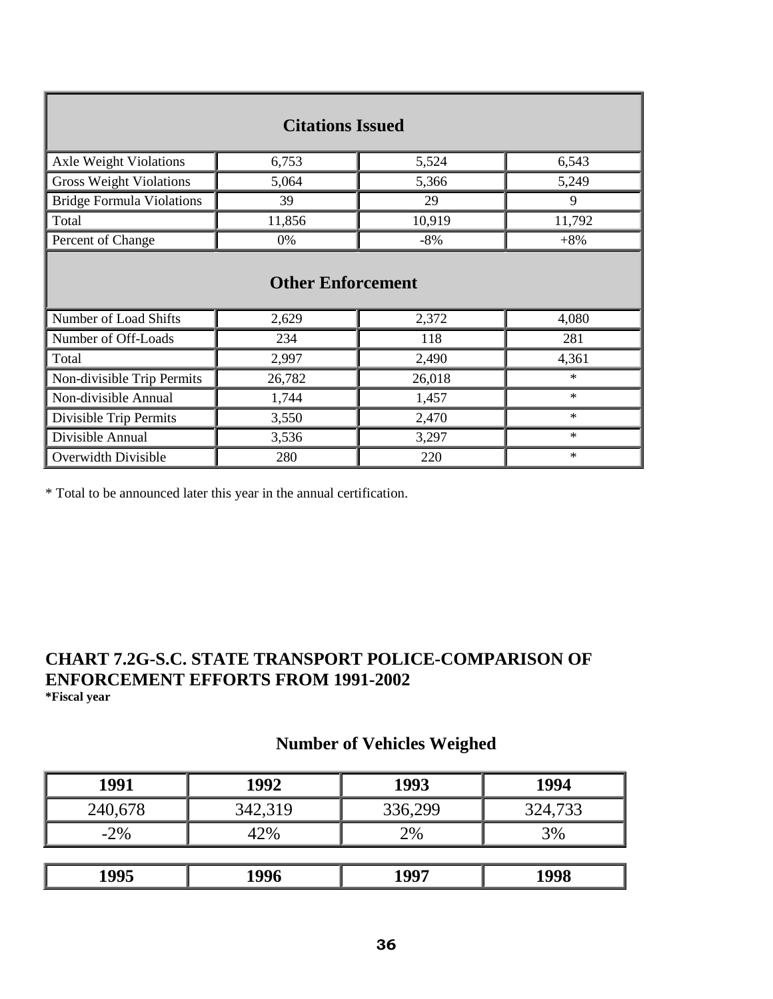| <b>Citations Issued</b>          |        |        |        |  |  |  |
|----------------------------------|--------|--------|--------|--|--|--|
| Axle Weight Violations           | 6,753  | 5,524  | 6,543  |  |  |  |
| <b>Gross Weight Violations</b>   | 5,064  | 5,366  | 5,249  |  |  |  |
| <b>Bridge Formula Violations</b> | 39     | 29     | 9      |  |  |  |
| Total                            | 11,856 | 10,919 | 11,792 |  |  |  |
| Percent of Change                | 0%     | $-8%$  | $+8%$  |  |  |  |
| <b>Other Enforcement</b>         |        |        |        |  |  |  |
| Number of Load Shifts            | 2,629  | 2,372  | 4,080  |  |  |  |
| Number of Off-Loads              | 234    | 118    | 281    |  |  |  |
| Total                            | 2,997  | 2,490  | 4,361  |  |  |  |
| Non-divisible Trip Permits       | 26,782 | 26,018 | $\ast$ |  |  |  |
| Non-divisible Annual             | 1,744  | 1,457  | $\ast$ |  |  |  |
| Divisible Trip Permits           | 3,550  | 2,470  | $\ast$ |  |  |  |
| Divisible Annual                 | 3,536  | 3,297  | $\ast$ |  |  |  |
| Overwidth Divisible              | 280    | 220    | $\ast$ |  |  |  |

\* Total to be announced later this year in the annual certification.

# **CHART 7.2G-S.C. STATE TRANSPORT POLICE-COMPARISON OF ENFORCEMENT EFFORTS FROM 1991-2002 \*Fiscal year**

# **Number of Vehicles Weighed**

| 1991    | 1992    | 1993    | 1994    |
|---------|---------|---------|---------|
| 240,678 | 342,319 | 336,299 | 324,733 |
| $-2\%$  | 42%     | 2%      | 3%      |
|         |         |         |         |
| 1995    | 1996    | 1997    | 1998    |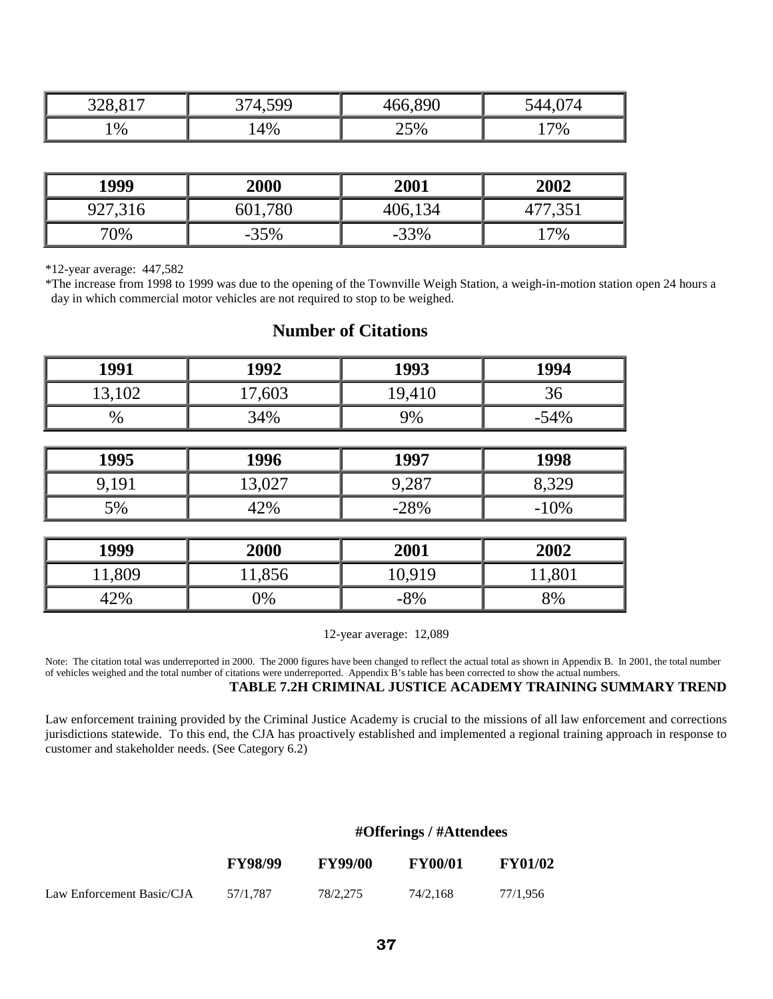| $\bigcap$ 4 $\bigcap$<br>ົ<br>$\sim$<br>◡◡ | 500 | 890 | ட   |
|--------------------------------------------|-----|-----|-----|
| 1%                                         | 4%  | 25% | .7% |

| 1999    | 2000    | 2001    | 2002 |
|---------|---------|---------|------|
| 927,316 | 601,780 | 406,134 | 351, |
| 70%     | $-35%$  | $-33%$  | 7%   |

\*12-year average: 447,582

\*The increase from 1998 to 1999 was due to the opening of the Townville Weigh Station, a weigh-in-motion station open 24 hours a day in which commercial motor vehicles are not required to stop to be weighed.

| 1991   | 1992   | 1993   | 1994   |
|--------|--------|--------|--------|
| 13,102 | 17,603 | 19,410 | 36     |
| $\%$   | 34%    | 9%     | $-54%$ |
|        |        |        |        |
| 1995   | 1996   | 1997   | 1998   |
| 9,191  | 13,027 | 9,287  | 8,329  |
| 5%     | 42%    | $-28%$ | $-10%$ |
|        |        |        |        |
| 1999   | 2000   | 2001   | 2002   |
| 11,809 | 11,856 | 10,919 | 11,801 |
| 42%    | 0%     | $-8%$  | 8%     |

# **Number of Citations**

12-year average: 12,089

Note: The citation total was underreported in 2000. The 2000 figures have been changed to reflect the actual total as shown in Appendix B. In 2001, the total number of vehicles weighed and the total number of citations were underreported. Appendix B's table has been corrected to show the actual numbers. **TABLE 7.2H CRIMINAL JUSTICE ACADEMY TRAINING SUMMARY TREND**

Law enforcement training provided by the Criminal Justice Academy is crucial to the missions of all law enforcement and corrections jurisdictions statewide. To this end, the CJA has proactively established and implemented a regional training approach in response to customer and stakeholder needs. (See Category 6.2)

## **#Offerings / #Attendees**

|                           | <b>FY98/99</b> | <b>FY99/00</b> | <b>FY00/01</b> | <b>FY01/02</b> |
|---------------------------|----------------|----------------|----------------|----------------|
| Law Enforcement Basic/CJA | 57/1.787       | 78/2.275       | 74/2.168       | 77/1.956       |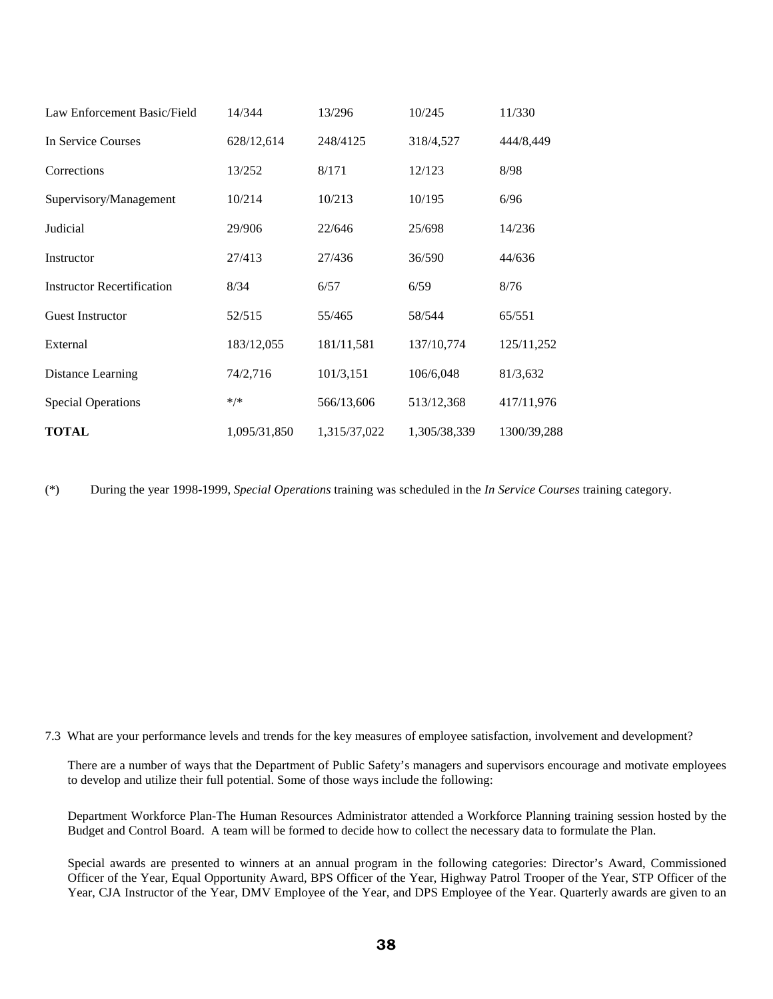| Law Enforcement Basic/Field       | 14/344       | 13/296       | 10/245       | 11/330      |
|-----------------------------------|--------------|--------------|--------------|-------------|
| In Service Courses                | 628/12,614   | 248/4125     | 318/4,527    | 444/8,449   |
| Corrections                       | 13/252       | 8/171        | 12/123       | 8/98        |
| Supervisory/Management            | 10/214       | 10/213       | 10/195       | 6/96        |
| Judicial                          | 29/906       | 22/646       | 25/698       | 14/236      |
| Instructor                        | 27/413       | 27/436       | 36/590       | 44/636      |
| <b>Instructor Recertification</b> | 8/34         | 6/57         | 6/59         | 8/76        |
| <b>Guest Instructor</b>           | 52/515       | 55/465       | 58/544       | 65/551      |
| External                          | 183/12,055   | 181/11,581   | 137/10,774   | 125/11,252  |
| Distance Learning                 | 74/2,716     | 101/3,151    | 106/6,048    | 81/3,632    |
| <b>Special Operations</b>         | $*/*$        | 566/13,606   | 513/12,368   | 417/11,976  |
| <b>TOTAL</b>                      | 1,095/31,850 | 1,315/37,022 | 1,305/38,339 | 1300/39,288 |

(\*) During the year 1998-1999, *Special Operations* training was scheduled in the *In Service Courses* training category.

7.3 What are your performance levels and trends for the key measures of employee satisfaction, involvement and development?

There are a number of ways that the Department of Public Safety's managers and supervisors encourage and motivate employees to develop and utilize their full potential. Some of those ways include the following:

Department Workforce Plan-The Human Resources Administrator attended a Workforce Planning training session hosted by the Budget and Control Board. A team will be formed to decide how to collect the necessary data to formulate the Plan.

Special awards are presented to winners at an annual program in the following categories: Director's Award, Commissioned Officer of the Year, Equal Opportunity Award, BPS Officer of the Year, Highway Patrol Trooper of the Year, STP Officer of the Year, CJA Instructor of the Year, DMV Employee of the Year, and DPS Employee of the Year. Quarterly awards are given to an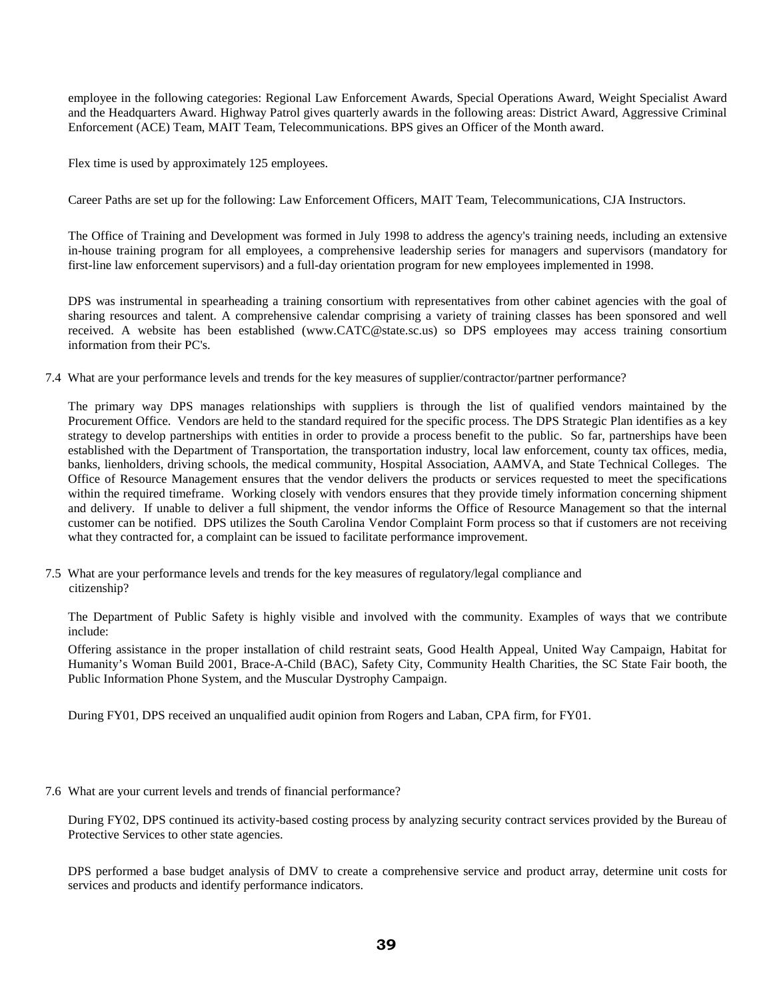employee in the following categories: Regional Law Enforcement Awards, Special Operations Award, Weight Specialist Award and the Headquarters Award. Highway Patrol gives quarterly awards in the following areas: District Award, Aggressive Criminal Enforcement (ACE) Team, MAIT Team, Telecommunications. BPS gives an Officer of the Month award.

Flex time is used by approximately 125 employees.

Career Paths are set up for the following: Law Enforcement Officers, MAIT Team, Telecommunications, CJA Instructors.

The Office of Training and Development was formed in July 1998 to address the agency's training needs, including an extensive in-house training program for all employees, a comprehensive leadership series for managers and supervisors (mandatory for first-line law enforcement supervisors) and a full-day orientation program for new employees implemented in 1998.

DPS was instrumental in spearheading a training consortium with representatives from other cabinet agencies with the goal of sharing resources and talent. A comprehensive calendar comprising a variety of training classes has been sponsored and well received. A website has been established (www.CATC@state.sc.us) so DPS employees may access training consortium information from their PC's.

7.4 What are your performance levels and trends for the key measures of supplier/contractor/partner performance?

The primary way DPS manages relationships with suppliers is through the list of qualified vendors maintained by the Procurement Office. Vendors are held to the standard required for the specific process. The DPS Strategic Plan identifies as a key strategy to develop partnerships with entities in order to provide a process benefit to the public. So far, partnerships have been established with the Department of Transportation, the transportation industry, local law enforcement, county tax offices, media, banks, lienholders, driving schools, the medical community, Hospital Association, AAMVA, and State Technical Colleges. The Office of Resource Management ensures that the vendor delivers the products or services requested to meet the specifications within the required timeframe. Working closely with vendors ensures that they provide timely information concerning shipment and delivery. If unable to deliver a full shipment, the vendor informs the Office of Resource Management so that the internal customer can be notified. DPS utilizes the South Carolina Vendor Complaint Form process so that if customers are not receiving what they contracted for, a complaint can be issued to facilitate performance improvement.

7.5 What are your performance levels and trends for the key measures of regulatory/legal compliance and citizenship?

The Department of Public Safety is highly visible and involved with the community. Examples of ways that we contribute include:

Offering assistance in the proper installation of child restraint seats, Good Health Appeal, United Way Campaign, Habitat for Humanity's Woman Build 2001, Brace-A-Child (BAC), Safety City, Community Health Charities, the SC State Fair booth, the Public Information Phone System, and the Muscular Dystrophy Campaign.

During FY01, DPS received an unqualified audit opinion from Rogers and Laban, CPA firm, for FY01.

7.6 What are your current levels and trends of financial performance?

During FY02, DPS continued its activity-based costing process by analyzing security contract services provided by the Bureau of Protective Services to other state agencies.

DPS performed a base budget analysis of DMV to create a comprehensive service and product array, determine unit costs for services and products and identify performance indicators.